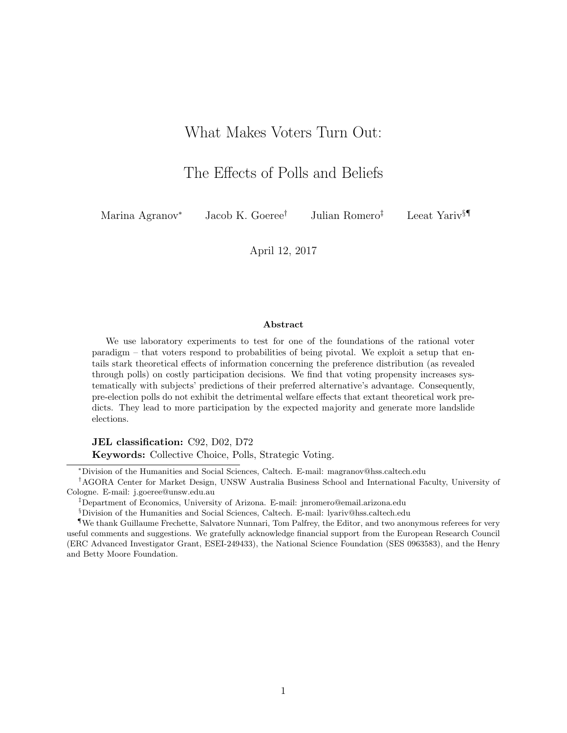# What Makes Voters Turn Out:

# The Effects of Polls and Beliefs

Marina Agranov<sup>∗</sup> Jacob K. Goeree† Julian Romero‡ Leeat Yariv§¶

April 12, 2017

#### Abstract

We use laboratory experiments to test for one of the foundations of the rational voter paradigm – that voters respond to probabilities of being pivotal. We exploit a setup that entails stark theoretical effects of information concerning the preference distribution (as revealed through polls) on costly participation decisions. We find that voting propensity increases systematically with subjects' predictions of their preferred alternative's advantage. Consequently, pre-election polls do not exhibit the detrimental welfare effects that extant theoretical work predicts. They lead to more participation by the expected majority and generate more landslide elections.

JEL classification: C92, D02, D72

Keywords: Collective Choice, Polls, Strategic Voting.

<sup>∗</sup>Division of the Humanities and Social Sciences, Caltech. E-mail: magranov@hss.caltech.edu

†AGORA Center for Market Design, UNSW Australia Business School and International Faculty, University of Cologne. E-mail: j.goeree@unsw.edu.au

‡Department of Economics, University of Arizona. E-mail: jnromero@email.arizona.edu

§Division of the Humanities and Social Sciences, Caltech. E-mail: lyariv@hss.caltech.edu

¶We thank Guillaume Frechette, Salvatore Nunnari, Tom Palfrey, the Editor, and two anonymous referees for very useful comments and suggestions. We gratefully acknowledge financial support from the European Research Council (ERC Advanced Investigator Grant, ESEI-249433), the National Science Foundation (SES 0963583), and the Henry and Betty Moore Foundation.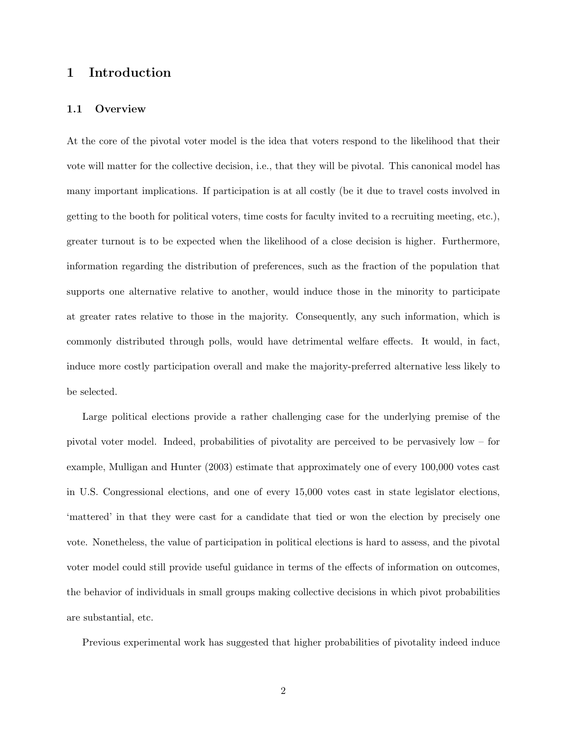# 1 Introduction

#### 1.1 Overview

At the core of the pivotal voter model is the idea that voters respond to the likelihood that their vote will matter for the collective decision, i.e., that they will be pivotal. This canonical model has many important implications. If participation is at all costly (be it due to travel costs involved in getting to the booth for political voters, time costs for faculty invited to a recruiting meeting, etc.), greater turnout is to be expected when the likelihood of a close decision is higher. Furthermore, information regarding the distribution of preferences, such as the fraction of the population that supports one alternative relative to another, would induce those in the minority to participate at greater rates relative to those in the majority. Consequently, any such information, which is commonly distributed through polls, would have detrimental welfare effects. It would, in fact, induce more costly participation overall and make the majority-preferred alternative less likely to be selected.

Large political elections provide a rather challenging case for the underlying premise of the pivotal voter model. Indeed, probabilities of pivotality are perceived to be pervasively low – for example, Mulligan and Hunter (2003) estimate that approximately one of every 100,000 votes cast in U.S. Congressional elections, and one of every 15,000 votes cast in state legislator elections, 'mattered' in that they were cast for a candidate that tied or won the election by precisely one vote. Nonetheless, the value of participation in political elections is hard to assess, and the pivotal voter model could still provide useful guidance in terms of the effects of information on outcomes, the behavior of individuals in small groups making collective decisions in which pivot probabilities are substantial, etc.

Previous experimental work has suggested that higher probabilities of pivotality indeed induce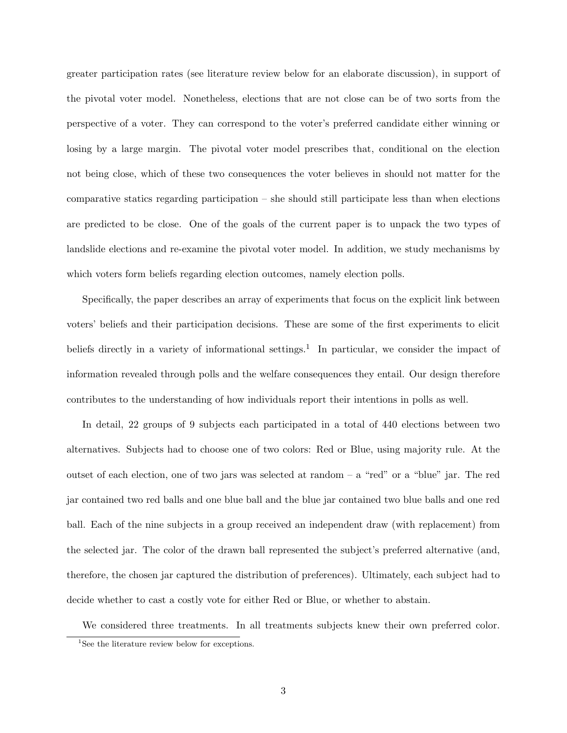greater participation rates (see literature review below for an elaborate discussion), in support of the pivotal voter model. Nonetheless, elections that are not close can be of two sorts from the perspective of a voter. They can correspond to the voter's preferred candidate either winning or losing by a large margin. The pivotal voter model prescribes that, conditional on the election not being close, which of these two consequences the voter believes in should not matter for the comparative statics regarding participation – she should still participate less than when elections are predicted to be close. One of the goals of the current paper is to unpack the two types of landslide elections and re-examine the pivotal voter model. In addition, we study mechanisms by which voters form beliefs regarding election outcomes, namely election polls.

Specifically, the paper describes an array of experiments that focus on the explicit link between voters' beliefs and their participation decisions. These are some of the first experiments to elicit beliefs directly in a variety of informational settings.<sup>1</sup> In particular, we consider the impact of information revealed through polls and the welfare consequences they entail. Our design therefore contributes to the understanding of how individuals report their intentions in polls as well.

In detail, 22 groups of 9 subjects each participated in a total of 440 elections between two alternatives. Subjects had to choose one of two colors: Red or Blue, using majority rule. At the outset of each election, one of two jars was selected at random  $-$  a "red" or a "blue" jar. The red jar contained two red balls and one blue ball and the blue jar contained two blue balls and one red ball. Each of the nine subjects in a group received an independent draw (with replacement) from the selected jar. The color of the drawn ball represented the subject's preferred alternative (and, therefore, the chosen jar captured the distribution of preferences). Ultimately, each subject had to decide whether to cast a costly vote for either Red or Blue, or whether to abstain.

We considered three treatments. In all treatments subjects knew their own preferred color.

<sup>&</sup>lt;sup>1</sup>See the literature review below for exceptions.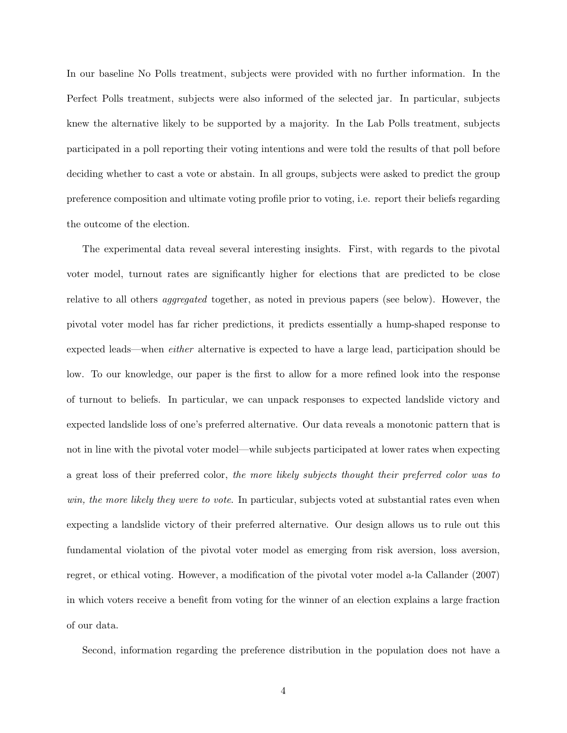In our baseline No Polls treatment, subjects were provided with no further information. In the Perfect Polls treatment, subjects were also informed of the selected jar. In particular, subjects knew the alternative likely to be supported by a majority. In the Lab Polls treatment, subjects participated in a poll reporting their voting intentions and were told the results of that poll before deciding whether to cast a vote or abstain. In all groups, subjects were asked to predict the group preference composition and ultimate voting profile prior to voting, i.e. report their beliefs regarding the outcome of the election.

The experimental data reveal several interesting insights. First, with regards to the pivotal voter model, turnout rates are significantly higher for elections that are predicted to be close relative to all others aggregated together, as noted in previous papers (see below). However, the pivotal voter model has far richer predictions, it predicts essentially a hump-shaped response to expected leads—when either alternative is expected to have a large lead, participation should be low. To our knowledge, our paper is the first to allow for a more refined look into the response of turnout to beliefs. In particular, we can unpack responses to expected landslide victory and expected landslide loss of one's preferred alternative. Our data reveals a monotonic pattern that is not in line with the pivotal voter model—while subjects participated at lower rates when expecting a great loss of their preferred color, the more likely subjects thought their preferred color was to win, the more likely they were to vote. In particular, subjects voted at substantial rates even when expecting a landslide victory of their preferred alternative. Our design allows us to rule out this fundamental violation of the pivotal voter model as emerging from risk aversion, loss aversion, regret, or ethical voting. However, a modification of the pivotal voter model a-la Callander (2007) in which voters receive a benefit from voting for the winner of an election explains a large fraction of our data.

Second, information regarding the preference distribution in the population does not have a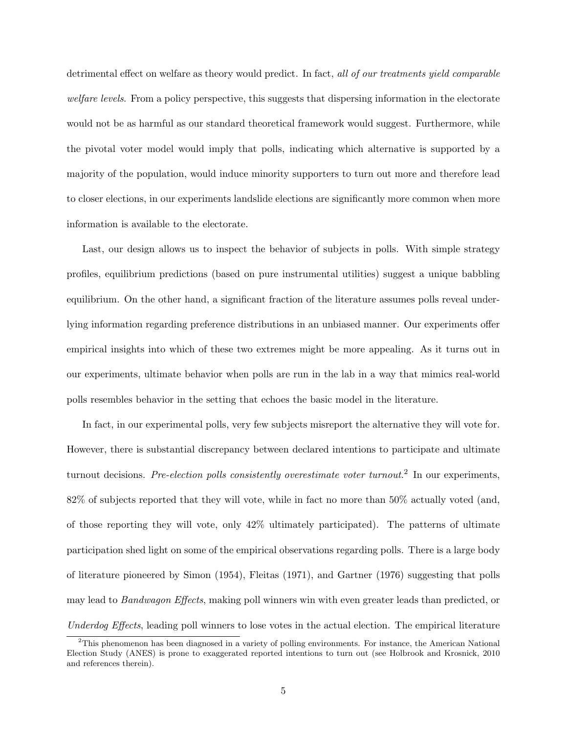detrimental effect on welfare as theory would predict. In fact, all of our treatments yield comparable welfare levels. From a policy perspective, this suggests that dispersing information in the electorate would not be as harmful as our standard theoretical framework would suggest. Furthermore, while the pivotal voter model would imply that polls, indicating which alternative is supported by a majority of the population, would induce minority supporters to turn out more and therefore lead to closer elections, in our experiments landslide elections are significantly more common when more information is available to the electorate.

Last, our design allows us to inspect the behavior of subjects in polls. With simple strategy profiles, equilibrium predictions (based on pure instrumental utilities) suggest a unique babbling equilibrium. On the other hand, a significant fraction of the literature assumes polls reveal underlying information regarding preference distributions in an unbiased manner. Our experiments offer empirical insights into which of these two extremes might be more appealing. As it turns out in our experiments, ultimate behavior when polls are run in the lab in a way that mimics real-world polls resembles behavior in the setting that echoes the basic model in the literature.

In fact, in our experimental polls, very few subjects misreport the alternative they will vote for. However, there is substantial discrepancy between declared intentions to participate and ultimate turnout decisions. Pre-election polls consistently overestimate voter turnout.<sup>2</sup> In our experiments, 82% of subjects reported that they will vote, while in fact no more than 50% actually voted (and, of those reporting they will vote, only 42% ultimately participated). The patterns of ultimate participation shed light on some of the empirical observations regarding polls. There is a large body of literature pioneered by Simon (1954), Fleitas (1971), and Gartner (1976) suggesting that polls may lead to Bandwagon Effects, making poll winners win with even greater leads than predicted, or Underdog Effects, leading poll winners to lose votes in the actual election. The empirical literature

<sup>&</sup>lt;sup>2</sup>This phenomenon has been diagnosed in a variety of polling environments. For instance, the American National Election Study (ANES) is prone to exaggerated reported intentions to turn out (see Holbrook and Krosnick, 2010 and references therein).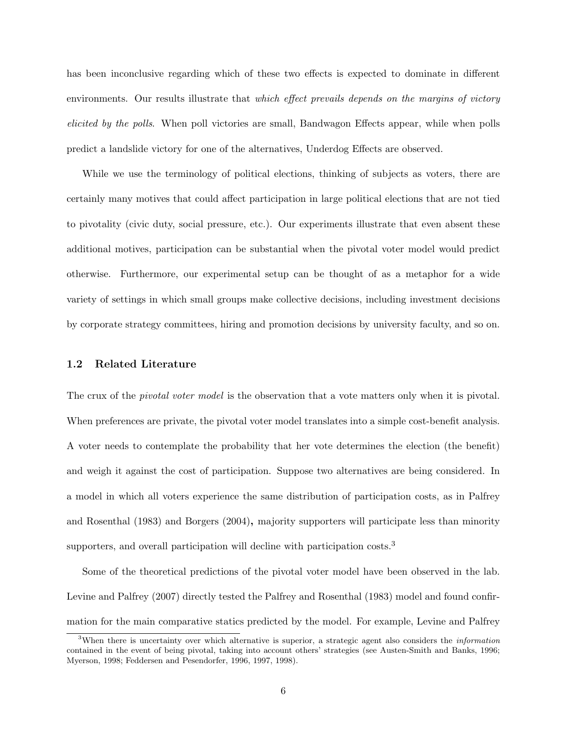has been inconclusive regarding which of these two effects is expected to dominate in different environments. Our results illustrate that which effect prevails depends on the margins of victory elicited by the polls. When poll victories are small, Bandwagon Effects appear, while when polls predict a landslide victory for one of the alternatives, Underdog Effects are observed.

While we use the terminology of political elections, thinking of subjects as voters, there are certainly many motives that could affect participation in large political elections that are not tied to pivotality (civic duty, social pressure, etc.). Our experiments illustrate that even absent these additional motives, participation can be substantial when the pivotal voter model would predict otherwise. Furthermore, our experimental setup can be thought of as a metaphor for a wide variety of settings in which small groups make collective decisions, including investment decisions by corporate strategy committees, hiring and promotion decisions by university faculty, and so on.

#### 1.2 Related Literature

The crux of the *pivotal voter model* is the observation that a vote matters only when it is pivotal. When preferences are private, the pivotal voter model translates into a simple cost-benefit analysis. A voter needs to contemplate the probability that her vote determines the election (the benefit) and weigh it against the cost of participation. Suppose two alternatives are being considered. In a model in which all voters experience the same distribution of participation costs, as in Palfrey and Rosenthal (1983) and Borgers (2004), majority supporters will participate less than minority supporters, and overall participation will decline with participation costs.<sup>3</sup>

Some of the theoretical predictions of the pivotal voter model have been observed in the lab. Levine and Palfrey (2007) directly tested the Palfrey and Rosenthal (1983) model and found confirmation for the main comparative statics predicted by the model. For example, Levine and Palfrey

<sup>&</sup>lt;sup>3</sup>When there is uncertainty over which alternative is superior, a strategic agent also considers the *information* contained in the event of being pivotal, taking into account others' strategies (see Austen-Smith and Banks, 1996; Myerson, 1998; Feddersen and Pesendorfer, 1996, 1997, 1998).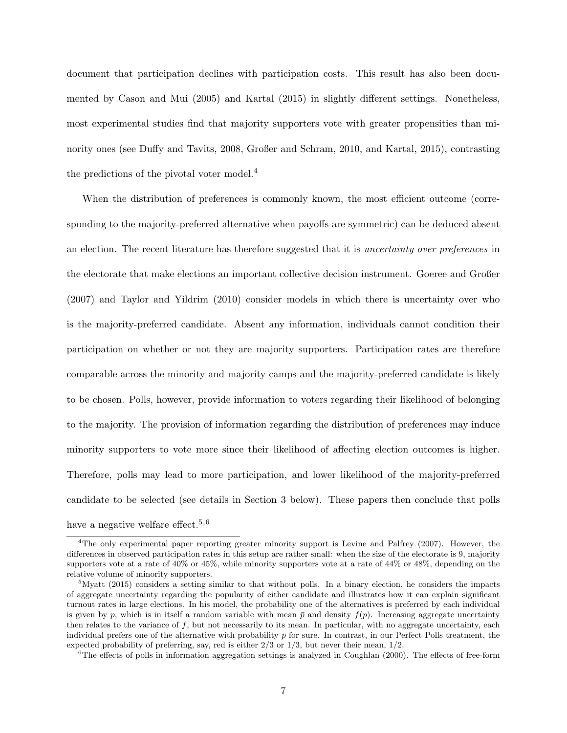document that participation declines with participation costs. This result has also been documented by Cason and Mui (2005) and Kartal (2015) in slightly different settings. Nonetheless, most experimental studies find that majority supporters vote with greater propensities than minority ones (see Duffy and Tavits, 2008, Großer and Schram, 2010, and Kartal, 2015), contrasting the predictions of the pivotal voter model.<sup>4</sup>

When the distribution of preferences is commonly known, the most efficient outcome (corresponding to the majority-preferred alternative when payoffs are symmetric) can be deduced absent an election. The recent literature has therefore suggested that it is *uncertainty over preferences* in the electorate that make elections an important collective decision instrument. Goeree and Großer (2007) and Taylor and Yildrim (2010) consider models in which there is uncertainty over who is the majority-preferred candidate. Absent any information, individuals cannot condition their participation on whether or not they are majority supporters. Participation rates are therefore comparable across the minority and majority camps and the majority-preferred candidate is likely to be chosen. Polls, however, provide information to voters regarding their likelihood of belonging to the majority. The provision of information regarding the distribution of preferences may induce minority supporters to vote more since their likelihood of affecting election outcomes is higher. Therefore, polls may lead to more participation, and lower likelihood of the majority-preferred candidate to be selected (see details in Section 3 below). These papers then conclude that polls have a negative welfare effect.<sup>5,6</sup>

<sup>4</sup>The only experimental paper reporting greater minority support is Levine and Palfrey (2007). However, the differences in observed participation rates in this setup are rather small: when the size of the electorate is 9, majority supporters vote at a rate of 40% or 45%, while minority supporters vote at a rate of 44% or 48%, depending on the relative volume of minority supporters.

 $5$ Myatt (2015) considers a setting similar to that without polls. In a binary election, he considers the impacts of aggregate uncertainty regarding the popularity of either candidate and illustrates how it can explain significant turnout rates in large elections. In his model, the probability one of the alternatives is preferred by each individual is given by p, which is in itself a random variable with mean  $\bar{p}$  and density  $f(p)$ . Increasing aggregate uncertainty then relates to the variance of  $f$ , but not necessarily to its mean. In particular, with no aggregate uncertainty, each individual prefers one of the alternative with probability  $\bar{p}$  for sure. In contrast, in our Perfect Polls treatment, the expected probability of preferring, say, red is either  $2/3$  or  $1/3$ , but never their mean,  $1/2$ .

 $6$ The effects of polls in information aggregation settings is analyzed in Coughlan (2000). The effects of free-form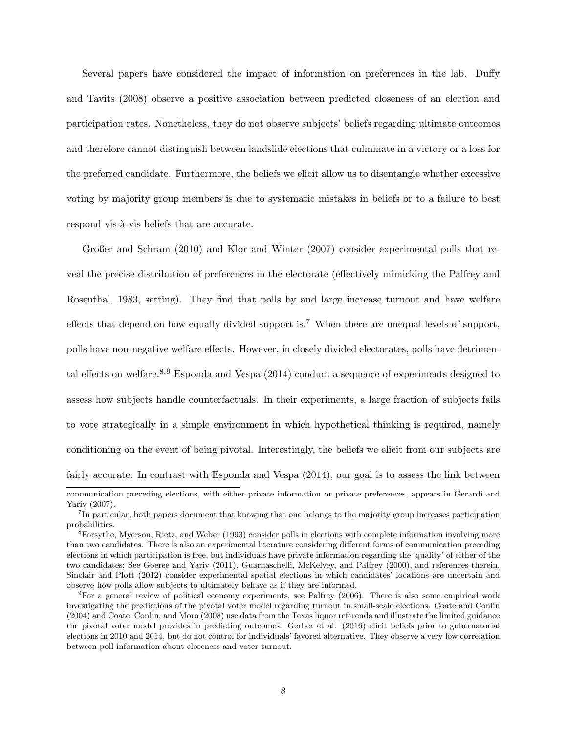Several papers have considered the impact of information on preferences in the lab. Duffy and Tavits (2008) observe a positive association between predicted closeness of an election and participation rates. Nonetheless, they do not observe subjects' beliefs regarding ultimate outcomes and therefore cannot distinguish between landslide elections that culminate in a victory or a loss for the preferred candidate. Furthermore, the beliefs we elicit allow us to disentangle whether excessive voting by majority group members is due to systematic mistakes in beliefs or to a failure to best respond vis-à-vis beliefs that are accurate.

Großer and Schram (2010) and Klor and Winter (2007) consider experimental polls that reveal the precise distribution of preferences in the electorate (effectively mimicking the Palfrey and Rosenthal, 1983, setting). They find that polls by and large increase turnout and have welfare effects that depend on how equally divided support is.<sup>7</sup> When there are unequal levels of support, polls have non-negative welfare effects. However, in closely divided electorates, polls have detrimental effects on welfare.<sup>8,9</sup> Esponda and Vespa  $(2014)$  conduct a sequence of experiments designed to assess how subjects handle counterfactuals. In their experiments, a large fraction of subjects fails to vote strategically in a simple environment in which hypothetical thinking is required, namely conditioning on the event of being pivotal. Interestingly, the beliefs we elicit from our subjects are fairly accurate. In contrast with Esponda and Vespa (2014), our goal is to assess the link between communication preceding elections, with either private information or private preferences, appears in Gerardi and

Yariv (2007).

<sup>&</sup>lt;sup>7</sup>In particular, both papers document that knowing that one belongs to the majority group increases participation probabilities.

<sup>&</sup>lt;sup>8</sup>Forsythe, Myerson, Rietz, and Weber (1993) consider polls in elections with complete information involving more than two candidates. There is also an experimental literature considering different forms of communication preceding elections in which participation is free, but individuals have private information regarding the 'quality' of either of the two candidates; See Goeree and Yariv (2011), Guarnaschelli, McKelvey, and Palfrey (2000), and references therein. Sinclair and Plott (2012) consider experimental spatial elections in which candidates' locations are uncertain and observe how polls allow subjects to ultimately behave as if they are informed.

<sup>9</sup>For a general review of political economy experiments, see Palfrey (2006). There is also some empirical work investigating the predictions of the pivotal voter model regarding turnout in small-scale elections. Coate and Conlin (2004) and Coate, Conlin, and Moro (2008) use data from the Texas liquor referenda and illustrate the limited guidance the pivotal voter model provides in predicting outcomes. Gerber et al. (2016) elicit beliefs prior to gubernatorial elections in 2010 and 2014, but do not control for individuals' favored alternative. They observe a very low correlation between poll information about closeness and voter turnout.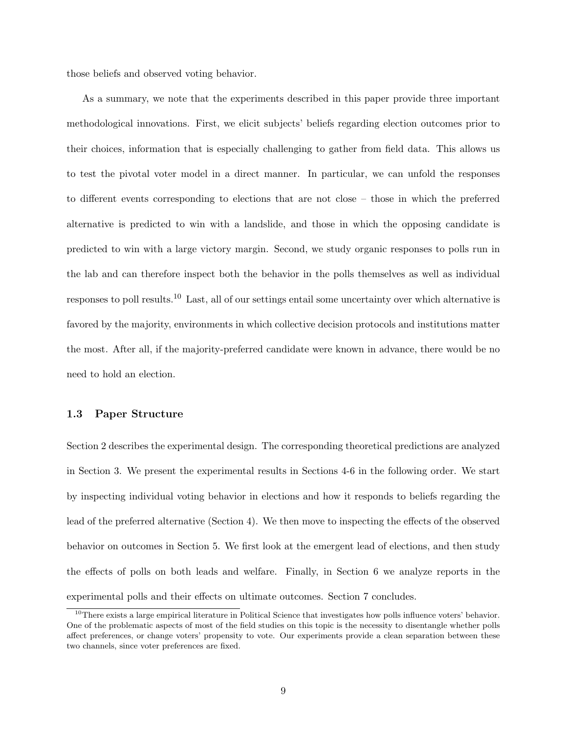those beliefs and observed voting behavior.

As a summary, we note that the experiments described in this paper provide three important methodological innovations. First, we elicit subjects' beliefs regarding election outcomes prior to their choices, information that is especially challenging to gather from field data. This allows us to test the pivotal voter model in a direct manner. In particular, we can unfold the responses to different events corresponding to elections that are not close – those in which the preferred alternative is predicted to win with a landslide, and those in which the opposing candidate is predicted to win with a large victory margin. Second, we study organic responses to polls run in the lab and can therefore inspect both the behavior in the polls themselves as well as individual responses to poll results.<sup>10</sup> Last, all of our settings entail some uncertainty over which alternative is favored by the majority, environments in which collective decision protocols and institutions matter the most. After all, if the majority-preferred candidate were known in advance, there would be no need to hold an election.

## 1.3 Paper Structure

Section 2 describes the experimental design. The corresponding theoretical predictions are analyzed in Section 3. We present the experimental results in Sections 4-6 in the following order. We start by inspecting individual voting behavior in elections and how it responds to beliefs regarding the lead of the preferred alternative (Section 4). We then move to inspecting the effects of the observed behavior on outcomes in Section 5. We first look at the emergent lead of elections, and then study the effects of polls on both leads and welfare. Finally, in Section 6 we analyze reports in the experimental polls and their effects on ultimate outcomes. Section 7 concludes.

<sup>&</sup>lt;sup>10</sup>There exists a large empirical literature in Political Science that investigates how polls influence voters' behavior. One of the problematic aspects of most of the field studies on this topic is the necessity to disentangle whether polls affect preferences, or change voters' propensity to vote. Our experiments provide a clean separation between these two channels, since voter preferences are fixed.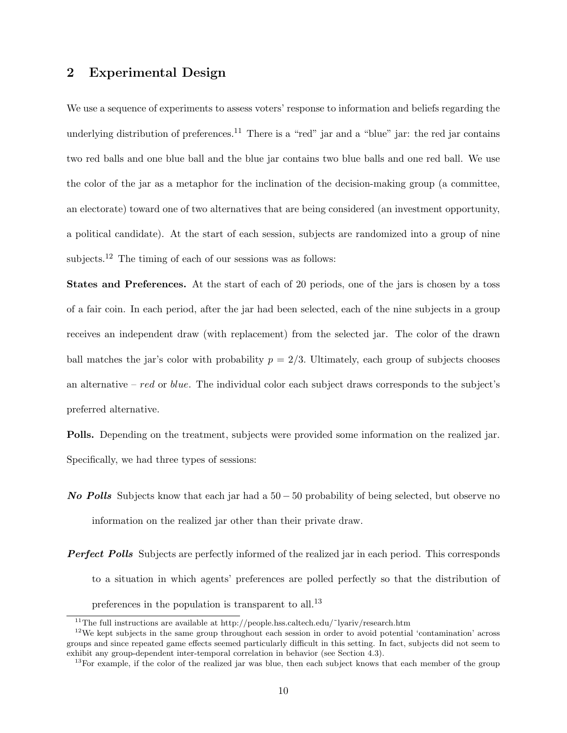# 2 Experimental Design

We use a sequence of experiments to assess voters' response to information and beliefs regarding the underlying distribution of preferences.<sup>11</sup> There is a "red" jar and a "blue" jar: the red jar contains two red balls and one blue ball and the blue jar contains two blue balls and one red ball. We use the color of the jar as a metaphor for the inclination of the decision-making group (a committee, an electorate) toward one of two alternatives that are being considered (an investment opportunity, a political candidate). At the start of each session, subjects are randomized into a group of nine subjects.<sup>12</sup> The timing of each of our sessions was as follows:

States and Preferences. At the start of each of 20 periods, one of the jars is chosen by a toss of a fair coin. In each period, after the jar had been selected, each of the nine subjects in a group receives an independent draw (with replacement) from the selected jar. The color of the drawn ball matches the jar's color with probability  $p = 2/3$ . Ultimately, each group of subjects chooses an alternative – red or blue. The individual color each subject draws corresponds to the subject's preferred alternative.

Polls. Depending on the treatment, subjects were provided some information on the realized jar. Specifically, we had three types of sessions:

- No Polls Subjects know that each jar had a  $50 50$  probability of being selected, but observe no information on the realized jar other than their private draw.
- **Perfect Polls** Subjects are perfectly informed of the realized jar in each period. This corresponds to a situation in which agents' preferences are polled perfectly so that the distribution of preferences in the population is transparent to all.<sup>13</sup>

 $^{11}\mathrm{The}$  full instructions are available at http://people.hss.caltech.edu/~lyariv/research.htm

 $12$ We kept subjects in the same group throughout each session in order to avoid potential 'contamination' across groups and since repeated game effects seemed particularly difficult in this setting. In fact, subjects did not seem to exhibit any group-dependent inter-temporal correlation in behavior (see Section 4.3).

<sup>&</sup>lt;sup>13</sup>For example, if the color of the realized jar was blue, then each subject knows that each member of the group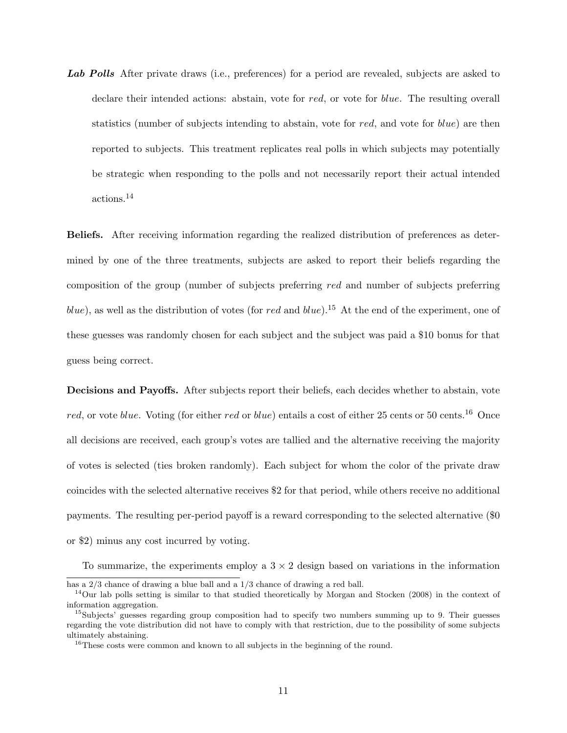Lab Polls After private draws (i.e., preferences) for a period are revealed, subjects are asked to declare their intended actions: abstain, vote for red, or vote for blue. The resulting overall statistics (number of subjects intending to abstain, vote for red, and vote for blue) are then reported to subjects. This treatment replicates real polls in which subjects may potentially be strategic when responding to the polls and not necessarily report their actual intended actions.<sup>14</sup>

Beliefs. After receiving information regarding the realized distribution of preferences as determined by one of the three treatments, subjects are asked to report their beliefs regarding the composition of the group (number of subjects preferring red and number of subjects preferring blue), as well as the distribution of votes (for red and blue).<sup>15</sup> At the end of the experiment, one of these guesses was randomly chosen for each subject and the subject was paid a \$10 bonus for that guess being correct.

Decisions and Payoffs. After subjects report their beliefs, each decides whether to abstain, vote red, or vote blue. Voting (for either red or blue) entails a cost of either 25 cents or 50 cents.<sup>16</sup> Once all decisions are received, each group's votes are tallied and the alternative receiving the majority of votes is selected (ties broken randomly). Each subject for whom the color of the private draw coincides with the selected alternative receives \$2 for that period, while others receive no additional payments. The resulting per-period payoff is a reward corresponding to the selected alternative (\$0 or \$2) minus any cost incurred by voting.

To summarize, the experiments employ a  $3 \times 2$  design based on variations in the information

has a  $2/3$  chance of drawing a blue ball and a  $1/3$  chance of drawing a red ball.

 $14$ Our lab polls setting is similar to that studied theoretically by Morgan and Stocken (2008) in the context of information aggregation.

<sup>&</sup>lt;sup>15</sup>Subjects' guesses regarding group composition had to specify two numbers summing up to 9. Their guesses regarding the vote distribution did not have to comply with that restriction, due to the possibility of some subjects ultimately abstaining.

<sup>&</sup>lt;sup>16</sup>These costs were common and known to all subjects in the beginning of the round.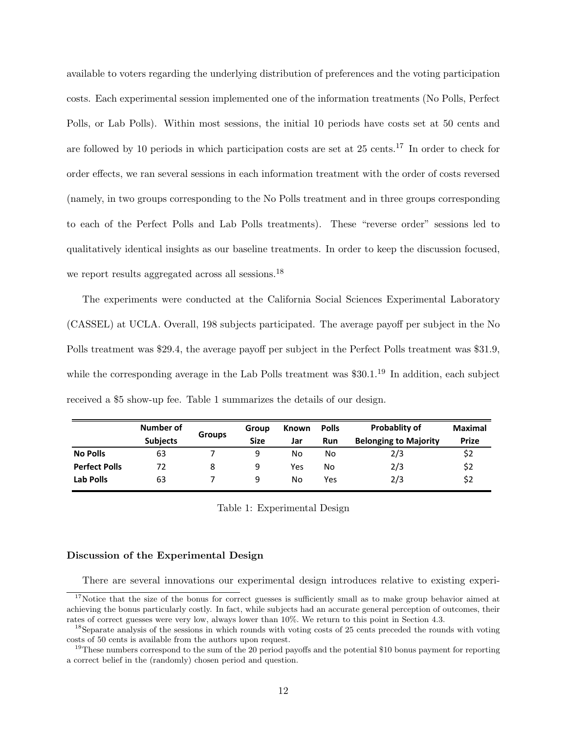available to voters regarding the underlying distribution of preferences and the voting participation costs. Each experimental session implemented one of the information treatments (No Polls, Perfect Polls, or Lab Polls). Within most sessions, the initial 10 periods have costs set at 50 cents and are followed by 10 periods in which participation costs are set at  $25 \text{ cents}$ .<sup>17</sup> In order to check for order effects, we ran several sessions in each information treatment with the order of costs reversed (namely, in two groups corresponding to the No Polls treatment and in three groups corresponding to each of the Perfect Polls and Lab Polls treatments). These "reverse order" sessions led to qualitatively identical insights as our baseline treatments. In order to keep the discussion focused, we report results aggregated across all sessions.<sup>18</sup>

The experiments were conducted at the California Social Sciences Experimental Laboratory (CASSEL) at UCLA. Overall, 198 subjects participated. The average payoff per subject in the No Polls treatment was \$29.4, the average payoff per subject in the Perfect Polls treatment was \$31.9, while the corresponding average in the Lab Polls treatment was \$30.1<sup>19</sup> In addition, each subject received a \$5 show-up fee. Table 1 summarizes the details of our design.

|                      | Number of       |               | Group       | <b>Polls</b><br><b>Known</b><br>Run<br>Jar |     | <b>Probablity of</b>         | <b>Maximal</b> |
|----------------------|-----------------|---------------|-------------|--------------------------------------------|-----|------------------------------|----------------|
|                      | <b>Subjects</b> | <b>Groups</b> | <b>Size</b> |                                            |     | <b>Belonging to Majority</b> | <b>Prize</b>   |
| <b>No Polls</b>      | 63              |               | 9           | No                                         | No  | 2/3                          | \$2            |
| <b>Perfect Polls</b> | 72              |               | 9           | Yes                                        | No  | 2/3                          | \$2            |
| Lab Polls            | 63              |               | 9           | No                                         | Yes | 2/3                          | \$2            |

Table 1: Experimental Design

### Discussion of the Experimental Design

There are several innovations our experimental design introduces relative to existing experi-

 $17$ Notice that the size of the bonus for correct guesses is sufficiently small as to make group behavior aimed at achieving the bonus particularly costly. In fact, while subjects had an accurate general perception of outcomes, their rates of correct guesses were very low, always lower than 10%. We return to this point in Section 4.3.

<sup>&</sup>lt;sup>18</sup>Separate analysis of the sessions in which rounds with voting costs of 25 cents preceded the rounds with voting costs of 50 cents is available from the authors upon request.

<sup>&</sup>lt;sup>19</sup>These numbers correspond to the sum of the 20 period payoffs and the potential \$10 bonus payment for reporting a correct belief in the (randomly) chosen period and question.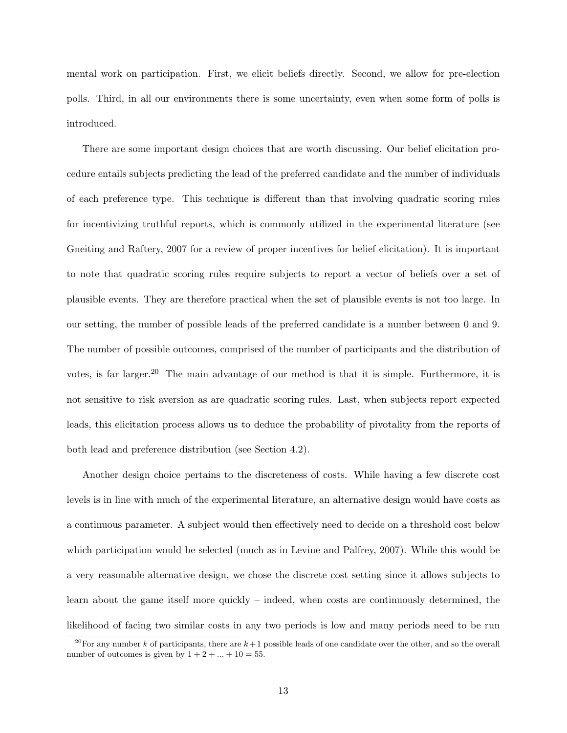mental work on participation. First, we elicit beliefs directly. Second, we allow for pre-election polls. Third, in all our environments there is some uncertainty, even when some form of polls is introduced.

There are some important design choices that are worth discussing. Our belief elicitation procedure entails subjects predicting the lead of the preferred candidate and the number of individuals of each preference type. This technique is different than that involving quadratic scoring rules for incentivizing truthful reports, which is commonly utilized in the experimental literature (see Gneiting and Raftery, 2007 for a review of proper incentives for belief elicitation). It is important to note that quadratic scoring rules require subjects to report a vector of beliefs over a set of plausible events. They are therefore practical when the set of plausible events is not too large. In our setting, the number of possible leads of the preferred candidate is a number between 0 and 9. The number of possible outcomes, comprised of the number of participants and the distribution of votes, is far larger.<sup>20</sup> The main advantage of our method is that it is simple. Furthermore, it is not sensitive to risk aversion as are quadratic scoring rules. Last, when subjects report expected leads, this elicitation process allows us to deduce the probability of pivotality from the reports of both lead and preference distribution (see Section 4.2).

Another design choice pertains to the discreteness of costs. While having a few discrete cost levels is in line with much of the experimental literature, an alternative design would have costs as a continuous parameter. A subject would then effectively need to decide on a threshold cost below which participation would be selected (much as in Levine and Palfrey, 2007). While this would be a very reasonable alternative design, we chose the discrete cost setting since it allows subjects to learn about the game itself more quickly – indeed, when costs are continuously determined, the likelihood of facing two similar costs in any two periods is low and many periods need to be run

<sup>&</sup>lt;sup>20</sup>For any number k of participants, there are  $k+1$  possible leads of one candidate over the other, and so the overall number of outcomes is given by  $1 + 2 + \ldots + 10 = 55$ .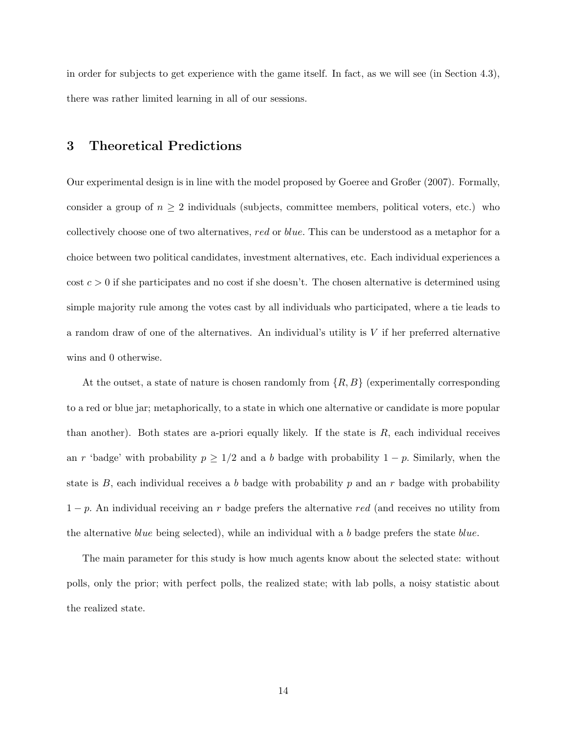in order for subjects to get experience with the game itself. In fact, as we will see (in Section 4.3), there was rather limited learning in all of our sessions.

# 3 Theoretical Predictions

Our experimental design is in line with the model proposed by Goeree and Großer (2007). Formally, consider a group of  $n \geq 2$  individuals (subjects, committee members, political voters, etc.) who collectively choose one of two alternatives, red or blue. This can be understood as a metaphor for a choice between two political candidates, investment alternatives, etc. Each individual experiences a  $\cot c > 0$  if she participates and no cost if she doesn't. The chosen alternative is determined using simple majority rule among the votes cast by all individuals who participated, where a tie leads to a random draw of one of the alternatives. An individual's utility is V if her preferred alternative wins and 0 otherwise.

At the outset, a state of nature is chosen randomly from  $\{R, B\}$  (experimentally corresponding to a red or blue jar; metaphorically, to a state in which one alternative or candidate is more popular than another). Both states are a-priori equally likely. If the state is  $R$ , each individual receives an r 'badge' with probability  $p \geq 1/2$  and a b badge with probability  $1 - p$ . Similarly, when the state is  $B$ , each individual receives a b badge with probability p and an r badge with probability  $1 - p$ . An individual receiving an r badge prefers the alternative red (and receives no utility from the alternative blue being selected), while an individual with a b badge prefers the state blue.

The main parameter for this study is how much agents know about the selected state: without polls, only the prior; with perfect polls, the realized state; with lab polls, a noisy statistic about the realized state.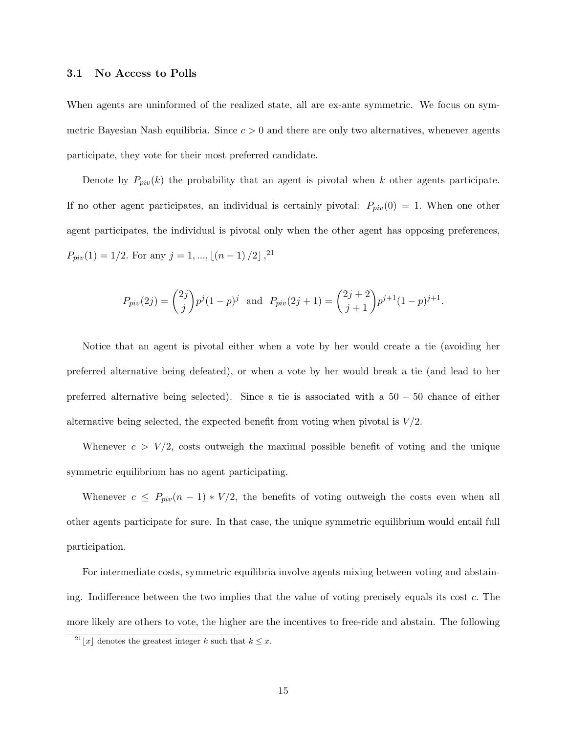### 3.1 No Access to Polls

When agents are uninformed of the realized state, all are ex-ante symmetric. We focus on symmetric Bayesian Nash equilibria. Since  $c > 0$  and there are only two alternatives, whenever agents participate, they vote for their most preferred candidate.

Denote by  $P_{piv}(k)$  the probability that an agent is pivotal when k other agents participate. If no other agent participates, an individual is certainly pivotal:  $P_{pi}(0) = 1$ . When one other agent participates, the individual is pivotal only when the other agent has opposing preferences,  $P_{piv}(1) = 1/2$ . For any  $j = 1, ..., \lfloor (n-1)/2 \rfloor$ ,<sup>21</sup>

$$
P_{piv}(2j) = {2j \choose j} p^j (1-p)^j \text{ and } P_{piv}(2j+1) = {2j+2 \choose j+1} p^{j+1} (1-p)^{j+1}.
$$

Notice that an agent is pivotal either when a vote by her would create a tie (avoiding her preferred alternative being defeated), or when a vote by her would break a tie (and lead to her preferred alternative being selected). Since a tie is associated with a 50 − 50 chance of either alternative being selected, the expected benefit from voting when pivotal is  $V/2$ .

Whenever  $c > V/2$ , costs outweigh the maximal possible benefit of voting and the unique symmetric equilibrium has no agent participating.

Whenever  $c \leq P_{\text{piv}}(n-1) * V/2$ , the benefits of voting outweigh the costs even when all other agents participate for sure. In that case, the unique symmetric equilibrium would entail full participation.

For intermediate costs, symmetric equilibria involve agents mixing between voting and abstaining. Indifference between the two implies that the value of voting precisely equals its cost c. The more likely are others to vote, the higher are the incentives to free-ride and abstain. The following

<sup>&</sup>lt;sup>21</sup>|x| denotes the greatest integer k such that  $k \leq x$ .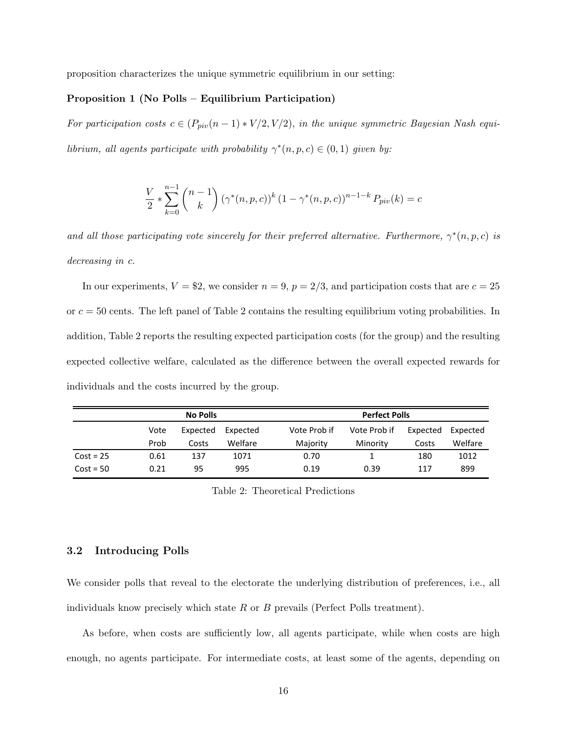proposition characterizes the unique symmetric equilibrium in our setting:

### Proposition 1 (No Polls – Equilibrium Participation)

For participation costs  $c \in (P_{piv}(n-1) * V/2, V/2)$ , in the unique symmetric Bayesian Nash equilibrium, all agents participate with probability  $\gamma^*(n, p, c) \in (0, 1)$  given by:

$$
\frac{V}{2} * \sum_{k=0}^{n-1} {n-1 \choose k} (\gamma^*(n, p, c))^k (1 - \gamma^*(n, p, c))^{n-1-k} P_{piv}(k) = c
$$

and all those participating vote sincerely for their preferred alternative. Furthermore,  $\gamma^*(n, p, c)$  is decreasing in c.

In our experiments,  $V = $2$ , we consider  $n = 9$ ,  $p = 2/3$ , and participation costs that are  $c = 25$ or  $c = 50$  cents. The left panel of Table 2 contains the resulting equilibrium voting probabilities. In addition, Table 2 reports the resulting expected participation costs (for the group) and the resulting expected collective welfare, calculated as the difference between the overall expected rewards for individuals and the costs incurred by the group.

|             |                              | <b>No Polls</b> |         |              | <b>Perfect Polls</b> |          |          |  |  |
|-------------|------------------------------|-----------------|---------|--------------|----------------------|----------|----------|--|--|
|             | Vote<br>Expected<br>Expected |                 |         | Vote Prob if | Vote Prob if         | Expected | Expected |  |  |
|             | Prob                         | Costs           | Welfare | Majority     | Minority             | Costs    | Welfare  |  |  |
| $Cost = 25$ | 0.61                         | 137             | 1071    | 0.70         |                      | 180      | 1012     |  |  |
| $Cost = 50$ | 0.21                         | 95              | 995     | 0.19         | 0.39                 | 117      | 899      |  |  |

Table 2: Theoretical Predictions

## 3.2 Introducing Polls

We consider polls that reveal to the electorate the underlying distribution of preferences, i.e., all individuals know precisely which state  $R$  or  $B$  prevails (Perfect Polls treatment).

As before, when costs are sufficiently low, all agents participate, while when costs are high enough, no agents participate. For intermediate costs, at least some of the agents, depending on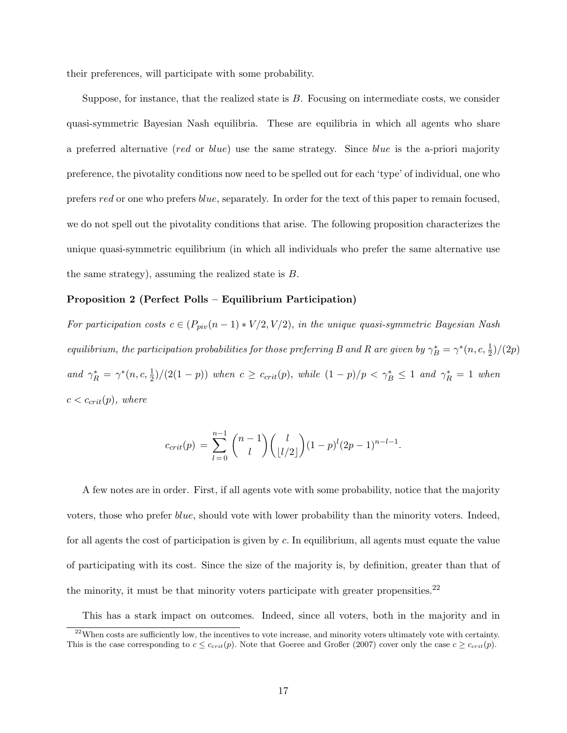their preferences, will participate with some probability.

Suppose, for instance, that the realized state is  $B$ . Focusing on intermediate costs, we consider quasi-symmetric Bayesian Nash equilibria. These are equilibria in which all agents who share a preferred alternative (red or blue) use the same strategy. Since blue is the a-priori majority preference, the pivotality conditions now need to be spelled out for each 'type' of individual, one who prefers red or one who prefers blue, separately. In order for the text of this paper to remain focused, we do not spell out the pivotality conditions that arise. The following proposition characterizes the unique quasi-symmetric equilibrium (in which all individuals who prefer the same alternative use the same strategy), assuming the realized state is B.

#### Proposition 2 (Perfect Polls – Equilibrium Participation)

For participation costs  $c \in (P_{piv}(n-1) * V/2, V/2)$ , in the unique quasi-symmetric Bayesian Nash equilibrium, the participation probabilities for those preferring B and R are given by  $\gamma_B^* = \gamma^*(n, c, \frac{1}{2})/(2p)$ and  $\gamma_R^* = \gamma^*(n, c, \frac{1}{2})/(2(1-p))$  when  $c \geq c_{crit}(p)$ , while  $(1-p)/p < \gamma_B^* \leq 1$  and  $\gamma_R^* = 1$  when  $c < c_{crit}(p)$ , where

$$
c_{crit}(p) = \sum_{l=0}^{n-1} {n-1 \choose l} {l \choose \lfloor l/2 \rfloor} (1-p)^l (2p-1)^{n-l-1}.
$$

A few notes are in order. First, if all agents vote with some probability, notice that the majority voters, those who prefer blue, should vote with lower probability than the minority voters. Indeed, for all agents the cost of participation is given by  $c$ . In equilibrium, all agents must equate the value of participating with its cost. Since the size of the majority is, by definition, greater than that of the minority, it must be that minority voters participate with greater propensities. $^{22}$ 

This has a stark impact on outcomes. Indeed, since all voters, both in the majority and in

 $22$ When costs are sufficiently low, the incentives to vote increase, and minority voters ultimately vote with certainty. This is the case corresponding to  $c \leq c_{crit}(p)$ . Note that Goeree and Großer (2007) cover only the case  $c \geq c_{crit}(p)$ .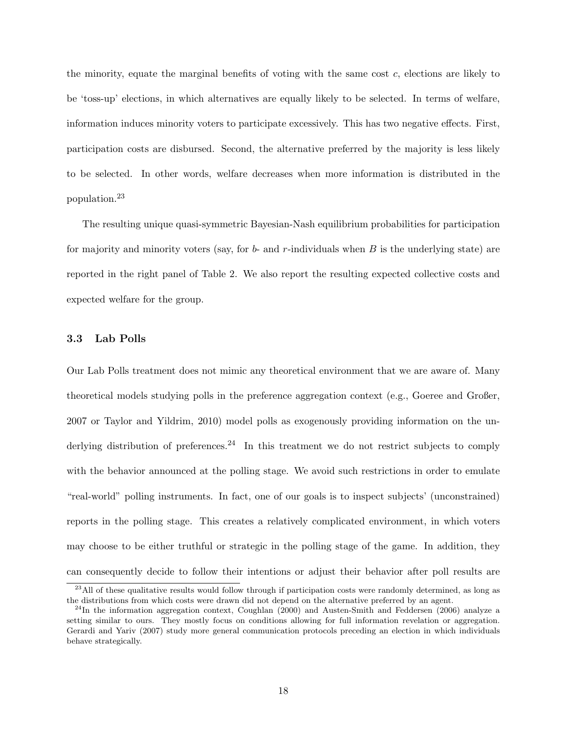the minority, equate the marginal benefits of voting with the same cost  $c$ , elections are likely to be 'toss-up' elections, in which alternatives are equally likely to be selected. In terms of welfare, information induces minority voters to participate excessively. This has two negative effects. First, participation costs are disbursed. Second, the alternative preferred by the majority is less likely to be selected. In other words, welfare decreases when more information is distributed in the population.<sup>23</sup>

The resulting unique quasi-symmetric Bayesian-Nash equilibrium probabilities for participation for majority and minority voters (say, for  $b$ - and  $r$ -individuals when  $B$  is the underlying state) are reported in the right panel of Table 2. We also report the resulting expected collective costs and expected welfare for the group.

## 3.3 Lab Polls

Our Lab Polls treatment does not mimic any theoretical environment that we are aware of. Many theoretical models studying polls in the preference aggregation context (e.g., Goeree and Großer, 2007 or Taylor and Yildrim, 2010) model polls as exogenously providing information on the underlying distribution of preferences.<sup>24</sup> In this treatment we do not restrict subjects to comply with the behavior announced at the polling stage. We avoid such restrictions in order to emulate "real-world" polling instruments. In fact, one of our goals is to inspect subjects' (unconstrained) reports in the polling stage. This creates a relatively complicated environment, in which voters may choose to be either truthful or strategic in the polling stage of the game. In addition, they can consequently decide to follow their intentions or adjust their behavior after poll results are

 $^{23}$ All of these qualitative results would follow through if participation costs were randomly determined, as long as the distributions from which costs were drawn did not depend on the alternative preferred by an agent.

 $^{24}$ In the information aggregation context, Coughlan (2000) and Austen-Smith and Feddersen (2006) analyze a setting similar to ours. They mostly focus on conditions allowing for full information revelation or aggregation. Gerardi and Yariv (2007) study more general communication protocols preceding an election in which individuals behave strategically.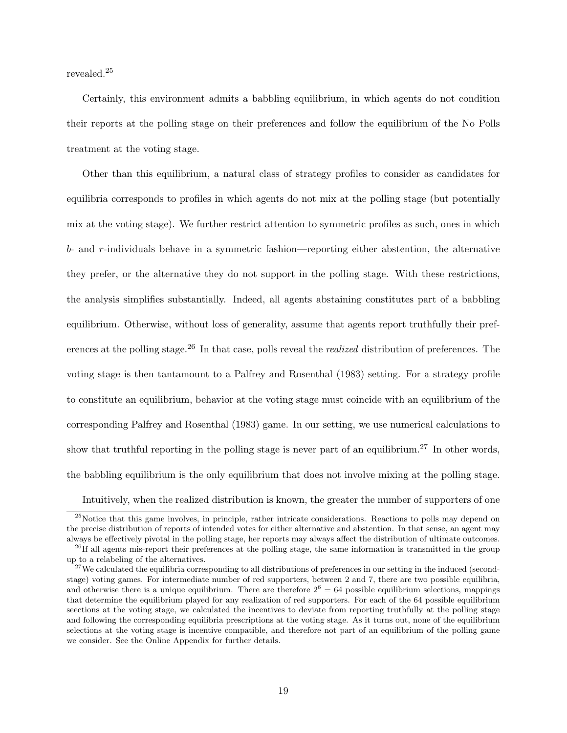revealed.<sup>25</sup>

Certainly, this environment admits a babbling equilibrium, in which agents do not condition their reports at the polling stage on their preferences and follow the equilibrium of the No Polls treatment at the voting stage.

Other than this equilibrium, a natural class of strategy profiles to consider as candidates for equilibria corresponds to profiles in which agents do not mix at the polling stage (but potentially mix at the voting stage). We further restrict attention to symmetric profiles as such, ones in which  $b$ - and r-individuals behave in a symmetric fashion—reporting either abstention, the alternative they prefer, or the alternative they do not support in the polling stage. With these restrictions, the analysis simplifies substantially. Indeed, all agents abstaining constitutes part of a babbling equilibrium. Otherwise, without loss of generality, assume that agents report truthfully their preferences at the polling stage.<sup>26</sup> In that case, polls reveal the *realized* distribution of preferences. The voting stage is then tantamount to a Palfrey and Rosenthal (1983) setting. For a strategy profile to constitute an equilibrium, behavior at the voting stage must coincide with an equilibrium of the corresponding Palfrey and Rosenthal (1983) game. In our setting, we use numerical calculations to show that truthful reporting in the polling stage is never part of an equilibrium.<sup>27</sup> In other words, the babbling equilibrium is the only equilibrium that does not involve mixing at the polling stage.

Intuitively, when the realized distribution is known, the greater the number of supporters of one

<sup>&</sup>lt;sup>25</sup>Notice that this game involves, in principle, rather intricate considerations. Reactions to polls may depend on the precise distribution of reports of intended votes for either alternative and abstention. In that sense, an agent may always be effectively pivotal in the polling stage, her reports may always affect the distribution of ultimate outcomes.

 $^{26}$ If all agents mis-report their preferences at the polling stage, the same information is transmitted in the group up to a relabeling of the alternatives.

<sup>&</sup>lt;sup>27</sup>We calculated the equilibria corresponding to all distributions of preferences in our setting in the induced (secondstage) voting games. For intermediate number of red supporters, between 2 and 7, there are two possible equilibria, and otherwise there is a unique equilibrium. There are therefore  $2^6 = 64$  possible equilibrium selections, mappings that determine the equilibrium played for any realization of red supporters. For each of the 64 possible equilibrium seections at the voting stage, we calculated the incentives to deviate from reporting truthfully at the polling stage and following the corresponding equilibria prescriptions at the voting stage. As it turns out, none of the equilibrium selections at the voting stage is incentive compatible, and therefore not part of an equilibrium of the polling game we consider. See the Online Appendix for further details.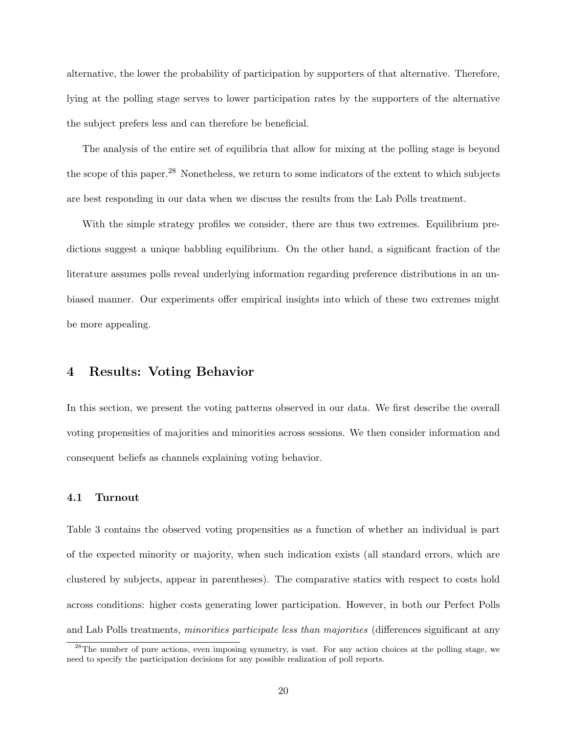alternative, the lower the probability of participation by supporters of that alternative. Therefore, lying at the polling stage serves to lower participation rates by the supporters of the alternative the subject prefers less and can therefore be beneficial.

The analysis of the entire set of equilibria that allow for mixing at the polling stage is beyond the scope of this paper.<sup>28</sup> Nonetheless, we return to some indicators of the extent to which subjects are best responding in our data when we discuss the results from the Lab Polls treatment.

With the simple strategy profiles we consider, there are thus two extremes. Equilibrium predictions suggest a unique babbling equilibrium. On the other hand, a significant fraction of the literature assumes polls reveal underlying information regarding preference distributions in an unbiased manner. Our experiments offer empirical insights into which of these two extremes might be more appealing.

# 4 Results: Voting Behavior

In this section, we present the voting patterns observed in our data. We first describe the overall voting propensities of majorities and minorities across sessions. We then consider information and consequent beliefs as channels explaining voting behavior.

#### 4.1 Turnout

Table 3 contains the observed voting propensities as a function of whether an individual is part of the expected minority or majority, when such indication exists (all standard errors, which are clustered by subjects, appear in parentheses). The comparative statics with respect to costs hold across conditions: higher costs generating lower participation. However, in both our Perfect Polls and Lab Polls treatments, minorities participate less than majorities (differences significant at any

<sup>&</sup>lt;sup>28</sup>The number of pure actions, even imposing symmetry, is vast. For any action choices at the polling stage, we need to specify the participation decisions for any possible realization of poll reports.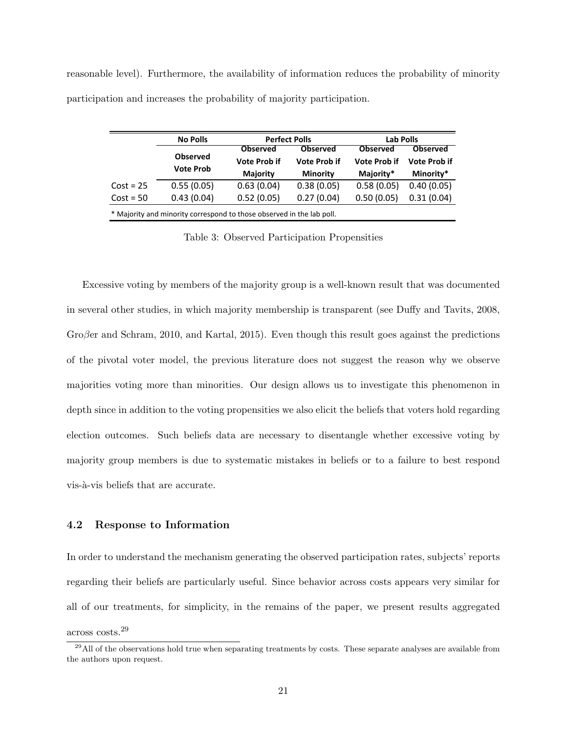|                                                                       | <b>No Polls</b>  | <b>Perfect Polls</b> |                     | Lab Polls           |                                 |  |  |  |
|-----------------------------------------------------------------------|------------------|----------------------|---------------------|---------------------|---------------------------------|--|--|--|
|                                                                       | <b>Observed</b>  | <b>Observed</b>      | <b>Observed</b>     | <b>Observed</b>     | Observed<br><b>Vote Prob if</b> |  |  |  |
|                                                                       | <b>Vote Prob</b> | <b>Vote Prob if</b>  | <b>Vote Prob if</b> | <b>Vote Prob if</b> |                                 |  |  |  |
|                                                                       |                  | <b>Majority</b>      | <b>Minority</b>     | Majority*           | Minority*                       |  |  |  |
| $Cost = 25$                                                           | 0.55(0.05)       | 0.63(0.04)           | 0.38(0.05)          | 0.58(0.05)          | 0.40(0.05)                      |  |  |  |
| $Cost = 50$                                                           | 0.43(0.04)       | 0.52(0.05)           | 0.27(0.04)          | 0.50(0.05)          | 0.31(0.04)                      |  |  |  |
| * Majority and minority correspond to those observed in the lab poll. |                  |                      |                     |                     |                                 |  |  |  |

reasonable level). Furthermore, the availability of information reduces the probability of minority participation and increases the probability of majority participation.

Table 3: Observed Participation Propensities

Excessive voting by members of the majority group is a well-known result that was documented in several other studies, in which majority membership is transparent (see Duffy and Tavits, 2008, Groβer and Schram, 2010, and Kartal, 2015). Even though this result goes against the predictions of the pivotal voter model, the previous literature does not suggest the reason why we observe majorities voting more than minorities. Our design allows us to investigate this phenomenon in depth since in addition to the voting propensities we also elicit the beliefs that voters hold regarding election outcomes. Such beliefs data are necessary to disentangle whether excessive voting by majority group members is due to systematic mistakes in beliefs or to a failure to best respond vis-à-vis beliefs that are accurate.

### 4.2 Response to Information

In order to understand the mechanism generating the observed participation rates, subjects' reports regarding their beliefs are particularly useful. Since behavior across costs appears very similar for all of our treatments, for simplicity, in the remains of the paper, we present results aggregated across costs.<sup>29</sup>

<sup>&</sup>lt;sup>29</sup>All of the observations hold true when separating treatments by costs. These separate analyses are available from the authors upon request.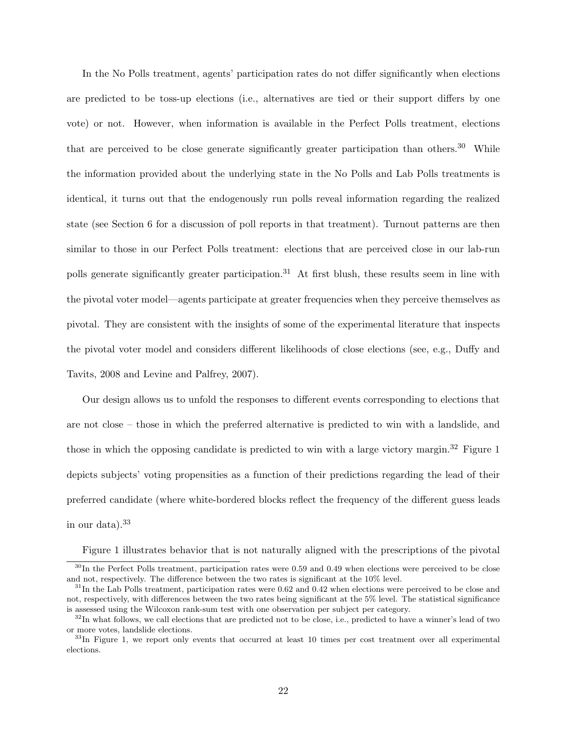In the No Polls treatment, agents' participation rates do not differ significantly when elections are predicted to be toss-up elections (i.e., alternatives are tied or their support differs by one vote) or not. However, when information is available in the Perfect Polls treatment, elections that are perceived to be close generate significantly greater participation than others.<sup>30</sup> While the information provided about the underlying state in the No Polls and Lab Polls treatments is identical, it turns out that the endogenously run polls reveal information regarding the realized state (see Section 6 for a discussion of poll reports in that treatment). Turnout patterns are then similar to those in our Perfect Polls treatment: elections that are perceived close in our lab-run polls generate significantly greater participation.<sup>31</sup> At first blush, these results seem in line with the pivotal voter model—agents participate at greater frequencies when they perceive themselves as pivotal. They are consistent with the insights of some of the experimental literature that inspects the pivotal voter model and considers different likelihoods of close elections (see, e.g., Duffy and Tavits, 2008 and Levine and Palfrey, 2007).

Our design allows us to unfold the responses to different events corresponding to elections that are not close – those in which the preferred alternative is predicted to win with a landslide, and those in which the opposing candidate is predicted to win with a large victory margin.<sup>32</sup> Figure 1 depicts subjects' voting propensities as a function of their predictions regarding the lead of their preferred candidate (where white-bordered blocks reflect the frequency of the different guess leads in our data).<sup>33</sup>

Figure 1 illustrates behavior that is not naturally aligned with the prescriptions of the pivotal

 $30$ In the Perfect Polls treatment, participation rates were 0.59 and 0.49 when elections were perceived to be close and not, respectively. The difference between the two rates is significant at the 10% level.

 $31$ In the Lab Polls treatment, participation rates were 0.62 and 0.42 when elections were perceived to be close and not, respectively, with differences between the two rates being significant at the 5% level. The statistical significance is assessed using the Wilcoxon rank-sum test with one observation per subject per category.

 $32$ In what follows, we call elections that are predicted not to be close, i.e., predicted to have a winner's lead of two or more votes, landslide elections.

<sup>&</sup>lt;sup>33</sup>In Figure 1, we report only events that occurred at least 10 times per cost treatment over all experimental elections.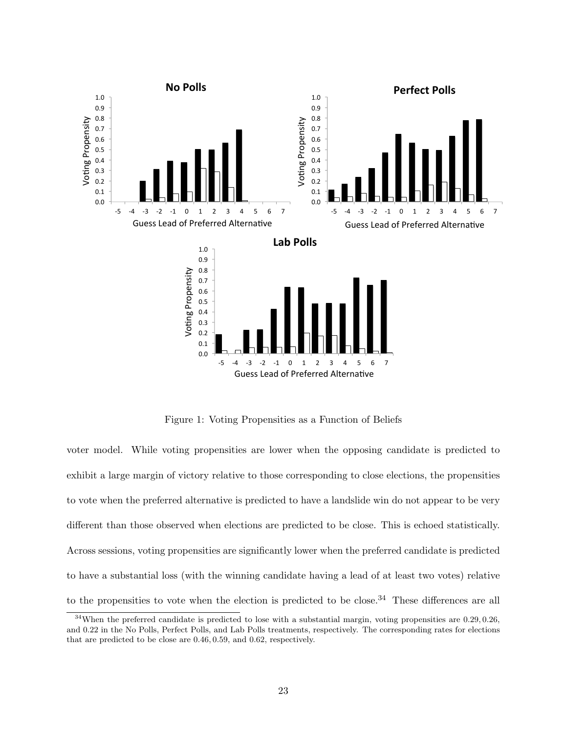

Figure 1: Voting Propensities as a Function of Beliefs

voter model. While voting propensities are lower when the opposing candidate is predicted to exhibit a large margin of victory relative to those corresponding to close elections, the propensities to vote when the preferred alternative is predicted to have a landslide win do not appear to be very different than those observed when elections are predicted to be close. This is echoed statistically. Across sessions, voting propensities are significantly lower when the preferred candidate is predicted to have a substantial loss (with the winning candidate having a lead of at least two votes) relative to the propensities to vote when the election is predicted to be close.<sup>34</sup> These differences are all

 $34$ When the preferred candidate is predicted to lose with a substantial margin, voting propensities are 0.29, 0.26, and 0.22 in the No Polls, Perfect Polls, and Lab Polls treatments, respectively. The corresponding rates for elections that are predicted to be close are 0.46, 0.59, and 0.62, respectively.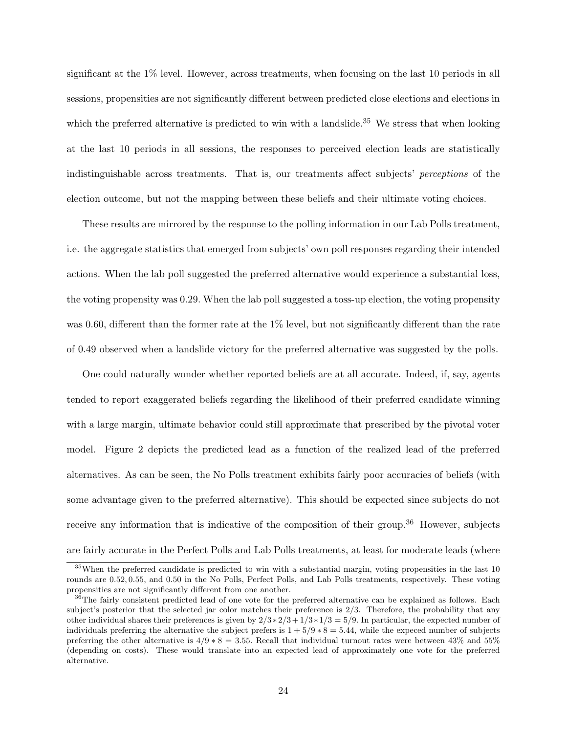significant at the 1% level. However, across treatments, when focusing on the last 10 periods in all sessions, propensities are not significantly different between predicted close elections and elections in which the preferred alternative is predicted to win with a landslide.<sup>35</sup> We stress that when looking at the last 10 periods in all sessions, the responses to perceived election leads are statistically indistinguishable across treatments. That is, our treatments affect subjects' perceptions of the election outcome, but not the mapping between these beliefs and their ultimate voting choices.

These results are mirrored by the response to the polling information in our Lab Polls treatment, i.e. the aggregate statistics that emerged from subjects' own poll responses regarding their intended actions. When the lab poll suggested the preferred alternative would experience a substantial loss, the voting propensity was 0.29. When the lab poll suggested a toss-up election, the voting propensity was 0.60, different than the former rate at the 1% level, but not significantly different than the rate of 0.49 observed when a landslide victory for the preferred alternative was suggested by the polls.

One could naturally wonder whether reported beliefs are at all accurate. Indeed, if, say, agents tended to report exaggerated beliefs regarding the likelihood of their preferred candidate winning with a large margin, ultimate behavior could still approximate that prescribed by the pivotal voter model. Figure 2 depicts the predicted lead as a function of the realized lead of the preferred alternatives. As can be seen, the No Polls treatment exhibits fairly poor accuracies of beliefs (with some advantage given to the preferred alternative). This should be expected since subjects do not receive any information that is indicative of the composition of their group.<sup>36</sup> However, subjects are fairly accurate in the Perfect Polls and Lab Polls treatments, at least for moderate leads (where

 $35$ When the preferred candidate is predicted to win with a substantial margin, voting propensities in the last 10 rounds are 0.52, 0.55, and 0.50 in the No Polls, Perfect Polls, and Lab Polls treatments, respectively. These voting propensities are not significantly different from one another.

<sup>&</sup>lt;sup>36</sup>The fairly consistent predicted lead of one vote for the preferred alternative can be explained as follows. Each subject's posterior that the selected jar color matches their preference is  $2/3$ . Therefore, the probability that any other individual shares their preferences is given by  $2/3 * 2/3 + 1/3 * 1/3 = 5/9$ . In particular, the expected number of individuals preferring the alternative the subject prefers is  $1 + 5/9 * 8 = 5.44$ , while the expeced number of subjects preferring the other alternative is  $4/9 * 8 = 3.55$ . Recall that individual turnout rates were between 43% and 55% (depending on costs). These would translate into an expected lead of approximately one vote for the preferred alternative.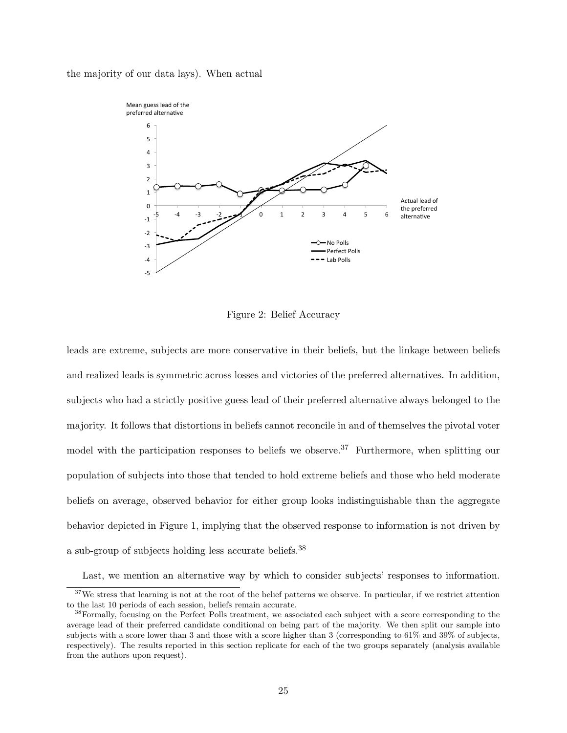the majority of our data lays). When actual



Figure 2: Belief Accuracy

leads are extreme, subjects are more conservative in their beliefs, but the linkage between beliefs and realized leads is symmetric across losses and victories of the preferred alternatives. In addition, subjects who had a strictly positive guess lead of their preferred alternative always belonged to the majority. It follows that distortions in beliefs cannot reconcile in and of themselves the pivotal voter model with the participation responses to beliefs we observe.<sup>37</sup> Furthermore, when splitting our population of subjects into those that tended to hold extreme beliefs and those who held moderate beliefs on average, observed behavior for either group looks indistinguishable than the aggregate behavior depicted in Figure 1, implying that the observed response to information is not driven by a sub-group of subjects holding less accurate beliefs.<sup>38</sup>

Last, we mention an alternative way by which to consider subjects' responses to information.

 $37$ We stress that learning is not at the root of the belief patterns we observe. In particular, if we restrict attention to the last 10 periods of each session, beliefs remain accurate.

<sup>&</sup>lt;sup>38</sup>Formally, focusing on the Perfect Polls treatment, we associated each subject with a score corresponding to the average lead of their preferred candidate conditional on being part of the majority. We then split our sample into subjects with a score lower than 3 and those with a score higher than 3 (corresponding to 61% and 39% of subjects, respectively). The results reported in this section replicate for each of the two groups separately (analysis available from the authors upon request).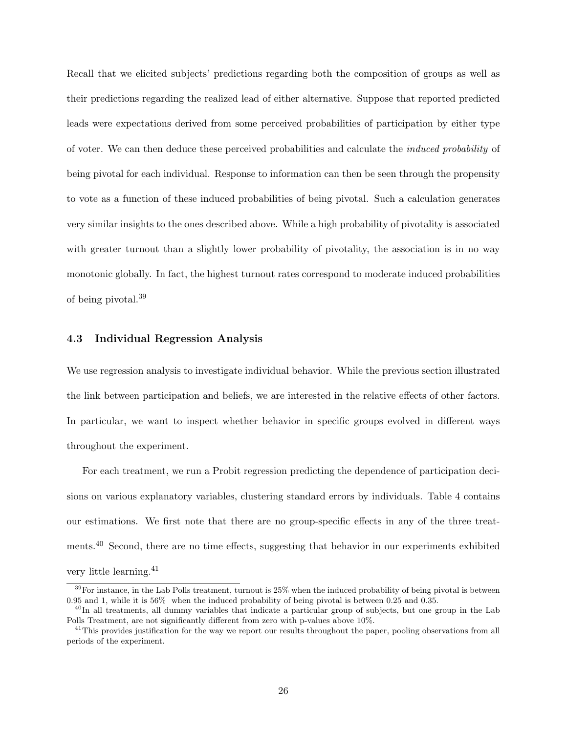Recall that we elicited subjects' predictions regarding both the composition of groups as well as their predictions regarding the realized lead of either alternative. Suppose that reported predicted leads were expectations derived from some perceived probabilities of participation by either type of voter. We can then deduce these perceived probabilities and calculate the induced probability of being pivotal for each individual. Response to information can then be seen through the propensity to vote as a function of these induced probabilities of being pivotal. Such a calculation generates very similar insights to the ones described above. While a high probability of pivotality is associated with greater turnout than a slightly lower probability of pivotality, the association is in no way monotonic globally. In fact, the highest turnout rates correspond to moderate induced probabilities of being pivotal.<sup>39</sup>

# 4.3 Individual Regression Analysis

We use regression analysis to investigate individual behavior. While the previous section illustrated the link between participation and beliefs, we are interested in the relative effects of other factors. In particular, we want to inspect whether behavior in specific groups evolved in different ways throughout the experiment.

For each treatment, we run a Probit regression predicting the dependence of participation decisions on various explanatory variables, clustering standard errors by individuals. Table 4 contains our estimations. We first note that there are no group-specific effects in any of the three treatments.<sup>40</sup> Second, there are no time effects, suggesting that behavior in our experiments exhibited very little learning.<sup>41</sup>

 $39$ For instance, in the Lab Polls treatment, turnout is  $25\%$  when the induced probability of being pivotal is between 0.95 and 1, while it is 56% when the induced probability of being pivotal is between 0.25 and 0.35.

<sup>&</sup>lt;sup>40</sup>In all treatments, all dummy variables that indicate a particular group of subjects, but one group in the Lab Polls Treatment, are not significantly different from zero with p-values above 10%.

 $41$ This provides justification for the way we report our results throughout the paper, pooling observations from all periods of the experiment.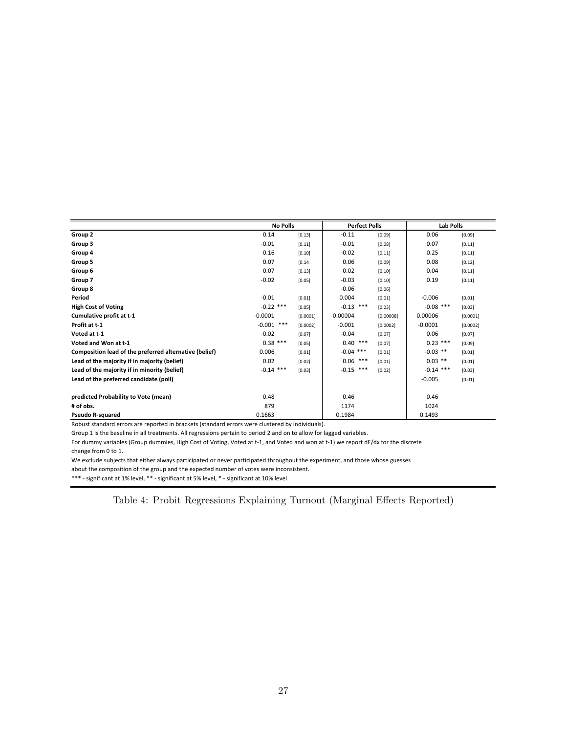|                                                        | <b>No Polls</b>   |          | <b>Perfect Polls</b> |           | <b>Lab Polls</b> |          |
|--------------------------------------------------------|-------------------|----------|----------------------|-----------|------------------|----------|
| Group 2                                                | 0.14              | [0.13]   | $-0.11$              | [0.09]    | 0.06             | [0.09]   |
| Group 3                                                | $-0.01$           | [0.11]   | $-0.01$              | [0.08]    | 0.07             | [0.11]   |
| Group 4                                                | 0.16              | [0.10]   | $-0.02$              | [0.11]    | 0.25             | [0.11]   |
| Group 5                                                | 0.07              | [0.14]   | 0.06                 | [0.09]    | 0.08             | [0.12]   |
| Group 6                                                | 0.07              | [0.13]   | 0.02                 | [0.10]    | 0.04             | [0.11]   |
| Group 7                                                | $-0.02$           | [0.05]   | $-0.03$              | [0.10]    | 0.19             | [0.11]   |
| Group 8                                                |                   |          | $-0.06$              | [0.06]    |                  |          |
| Period                                                 | $-0.01$           | [0.01]   | 0.004                | [0.01]    | $-0.006$         | [0.01]   |
| <b>High Cost of Voting</b>                             | $-0.22$ ***       | [0.05]   | $-0.13$ ***          | [0.03]    | $-0.08$ ***      | [0.03]   |
| Cumulative profit at t-1                               | $-0.0001$         | [0.0001] | $-0.00004$           | [0.00008] | 0.00006          | [0.0001] |
| Profit at t-1                                          | $***$<br>$-0.001$ | [0.0002] | $-0.001$             | [0.0002]  | $-0.0001$        | [0.0002] |
| Voted at t-1                                           | $-0.02$           | [0.07]   | $-0.04$              | [0.07]    | 0.06             | [0.07]   |
| Voted and Won at t-1                                   | $0.38***$         | [0.05]   | $0.40$ ***           | [0.07]    | $0.23$ ***       | [0.09]   |
| Composition lead of the preferred alternative (belief) | 0.006             | [0.01]   | $-0.04$ ***          | [0.01]    | $-0.03$ **       | [0.01]   |
| Lead of the majority if in majority (belief)           | 0.02              | [0.02]   | $0.06$ ***           | [0.01]    | $0.03$ **        | [0.01]   |
| Lead of the majority if in minority (belief)           | $-0.14$ ***       | [0.03]   | $-0.15$ ***          | [0.02]    | $-0.14$ ***      | [0.03]   |
| Lead of the preferred candidate (poll)                 |                   |          |                      |           | $-0.005$         | [0.01]   |
|                                                        |                   |          |                      |           |                  |          |
| predicted Probability to Vote (mean)                   | 0.48              |          | 0.46                 |           | 0.46             |          |
| # of obs.                                              | 879               |          | 1174                 |           | 1024             |          |
| Pseudo R-squared                                       | 0.1663            |          | 0.1984               |           | 0.1493           |          |

Robust standard errors are reported in brackets (standard errors were clustered by individuals).

Group 1 is the baseline in all treatments. All regressions pertain to period 2 and on to allow for lagged variables.

For dummy variables (Group dummies, High Cost of Voting, Voted at t-1, and Voted and won at t-1) we report dF/dx for the discrete change from 0 to 1.

We exclude subjects that either always participated or never participated throughout the experiment, and those whose guesses

about the composition of the group and the expected number of votes were inconsistent.

\*\*\* - significant at 1% level, \*\* - significant at 5% level, \* - significant at 10% level

Table 4: Probit Regressions Explaining Turnout (Marginal Effects Reported)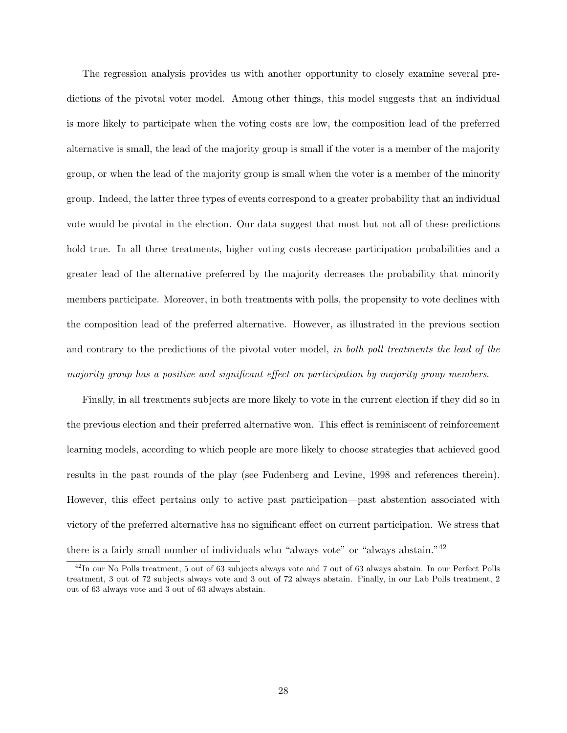The regression analysis provides us with another opportunity to closely examine several predictions of the pivotal voter model. Among other things, this model suggests that an individual is more likely to participate when the voting costs are low, the composition lead of the preferred alternative is small, the lead of the majority group is small if the voter is a member of the majority group, or when the lead of the majority group is small when the voter is a member of the minority group. Indeed, the latter three types of events correspond to a greater probability that an individual vote would be pivotal in the election. Our data suggest that most but not all of these predictions hold true. In all three treatments, higher voting costs decrease participation probabilities and a greater lead of the alternative preferred by the majority decreases the probability that minority members participate. Moreover, in both treatments with polls, the propensity to vote declines with the composition lead of the preferred alternative. However, as illustrated in the previous section and contrary to the predictions of the pivotal voter model, in both poll treatments the lead of the majority group has a positive and significant effect on participation by majority group members.

Finally, in all treatments subjects are more likely to vote in the current election if they did so in the previous election and their preferred alternative won. This effect is reminiscent of reinforcement learning models, according to which people are more likely to choose strategies that achieved good results in the past rounds of the play (see Fudenberg and Levine, 1998 and references therein). However, this effect pertains only to active past participation—past abstention associated with victory of the preferred alternative has no significant effect on current participation. We stress that there is a fairly small number of individuals who "always vote" or "always abstain."<sup>42</sup>

 $^{42}$ In our No Polls treatment, 5 out of 63 subjects always vote and 7 out of 63 always abstain. In our Perfect Polls treatment, 3 out of 72 subjects always vote and 3 out of 72 always abstain. Finally, in our Lab Polls treatment, 2 out of 63 always vote and 3 out of 63 always abstain.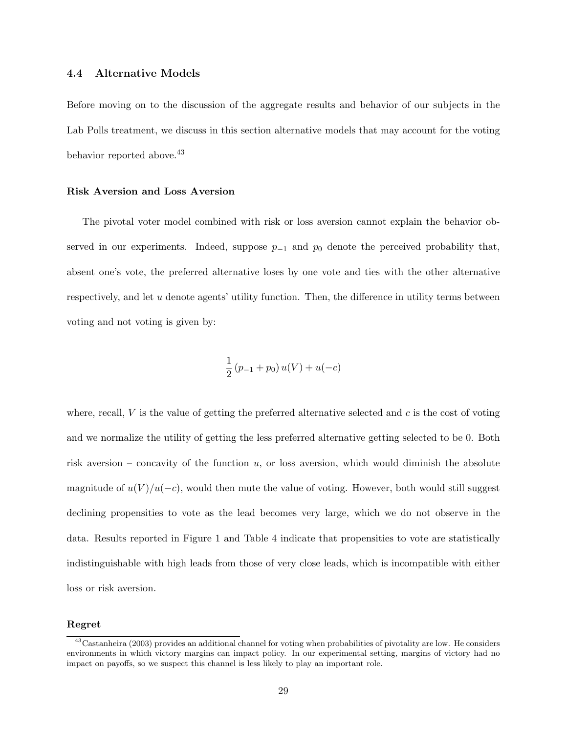#### 4.4 Alternative Models

Before moving on to the discussion of the aggregate results and behavior of our subjects in the Lab Polls treatment, we discuss in this section alternative models that may account for the voting behavior reported above.<sup>43</sup>

## Risk Aversion and Loss Aversion

The pivotal voter model combined with risk or loss aversion cannot explain the behavior observed in our experiments. Indeed, suppose  $p_{-1}$  and  $p_0$  denote the perceived probability that, absent one's vote, the preferred alternative loses by one vote and ties with the other alternative respectively, and let u denote agents' utility function. Then, the difference in utility terms between voting and not voting is given by:

$$
\frac{1}{2}(p_{-1} + p_0) u(V) + u(-c)
$$

where, recall,  $V$  is the value of getting the preferred alternative selected and  $c$  is the cost of voting and we normalize the utility of getting the less preferred alternative getting selected to be 0. Both risk aversion – concavity of the function  $u$ , or loss aversion, which would diminish the absolute magnitude of  $u(V)/u(-c)$ , would then mute the value of voting. However, both would still suggest declining propensities to vote as the lead becomes very large, which we do not observe in the data. Results reported in Figure 1 and Table 4 indicate that propensities to vote are statistically indistinguishable with high leads from those of very close leads, which is incompatible with either loss or risk aversion.

#### Regret

<sup>&</sup>lt;sup>43</sup>Castanheira (2003) provides an additional channel for voting when probabilities of pivotality are low. He considers environments in which victory margins can impact policy. In our experimental setting, margins of victory had no impact on payoffs, so we suspect this channel is less likely to play an important role.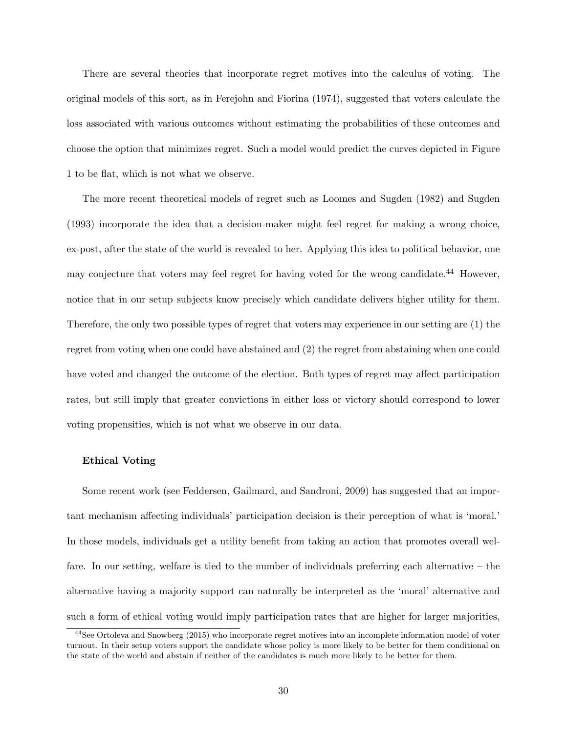There are several theories that incorporate regret motives into the calculus of voting. The original models of this sort, as in Ferejohn and Fiorina (1974), suggested that voters calculate the loss associated with various outcomes without estimating the probabilities of these outcomes and choose the option that minimizes regret. Such a model would predict the curves depicted in Figure 1 to be flat, which is not what we observe.

The more recent theoretical models of regret such as Loomes and Sugden (1982) and Sugden (1993) incorporate the idea that a decision-maker might feel regret for making a wrong choice, ex-post, after the state of the world is revealed to her. Applying this idea to political behavior, one may conjecture that voters may feel regret for having voted for the wrong candidate.<sup>44</sup> However, notice that in our setup subjects know precisely which candidate delivers higher utility for them. Therefore, the only two possible types of regret that voters may experience in our setting are (1) the regret from voting when one could have abstained and (2) the regret from abstaining when one could have voted and changed the outcome of the election. Both types of regret may affect participation rates, but still imply that greater convictions in either loss or victory should correspond to lower voting propensities, which is not what we observe in our data.

#### Ethical Voting

Some recent work (see Feddersen, Gailmard, and Sandroni, 2009) has suggested that an important mechanism affecting individuals' participation decision is their perception of what is 'moral.' In those models, individuals get a utility benefit from taking an action that promotes overall welfare. In our setting, welfare is tied to the number of individuals preferring each alternative – the alternative having a majority support can naturally be interpreted as the 'moral' alternative and such a form of ethical voting would imply participation rates that are higher for larger majorities,

<sup>&</sup>lt;sup>44</sup>See Ortoleva and Snowberg (2015) who incorporate regret motives into an incomplete information model of voter turnout. In their setup voters support the candidate whose policy is more likely to be better for them conditional on the state of the world and abstain if neither of the candidates is much more likely to be better for them.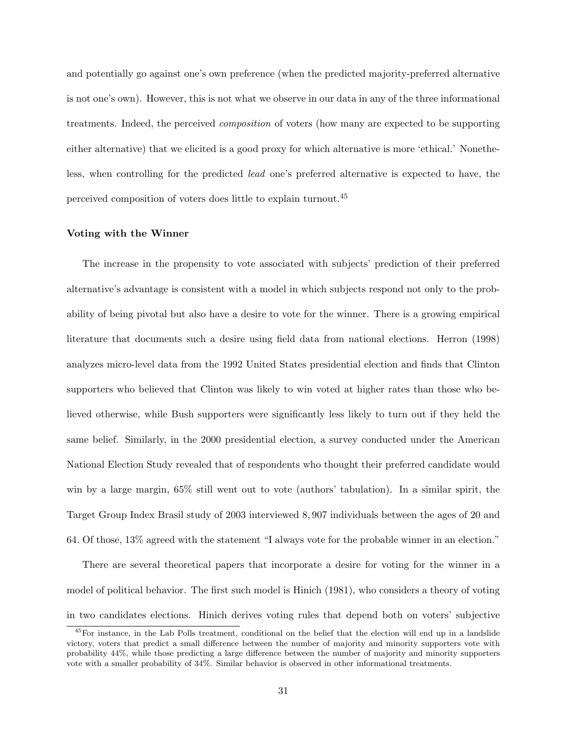and potentially go against one's own preference (when the predicted majority-preferred alternative is not one's own). However, this is not what we observe in our data in any of the three informational treatments. Indeed, the perceived composition of voters (how many are expected to be supporting either alternative) that we elicited is a good proxy for which alternative is more 'ethical.' Nonetheless, when controlling for the predicted lead one's preferred alternative is expected to have, the perceived composition of voters does little to explain turnout.<sup>45</sup>

#### Voting with the Winner

The increase in the propensity to vote associated with subjects' prediction of their preferred alternative's advantage is consistent with a model in which subjects respond not only to the probability of being pivotal but also have a desire to vote for the winner. There is a growing empirical literature that documents such a desire using field data from national elections. Herron (1998) analyzes micro-level data from the 1992 United States presidential election and finds that Clinton supporters who believed that Clinton was likely to win voted at higher rates than those who believed otherwise, while Bush supporters were significantly less likely to turn out if they held the same belief. Similarly, in the 2000 presidential election, a survey conducted under the American National Election Study revealed that of respondents who thought their preferred candidate would win by a large margin, 65% still went out to vote (authors' tabulation). In a similar spirit, the Target Group Index Brasil study of 2003 interviewed 8, 907 individuals between the ages of 20 and 64. Of those, 13% agreed with the statement "I always vote for the probable winner in an election."

There are several theoretical papers that incorporate a desire for voting for the winner in a model of political behavior. The first such model is Hinich (1981), who considers a theory of voting in two candidates elections. Hinich derives voting rules that depend both on voters' subjective

<sup>45</sup>For instance, in the Lab Polls treatment, conditional on the belief that the election will end up in a landslide victory, voters that predict a small difference between the number of majority and minority supporters vote with probability 44%, while those predicting a large difference between the number of majority and minority supporters vote with a smaller probability of 34%. Similar behavior is observed in other informational treatments.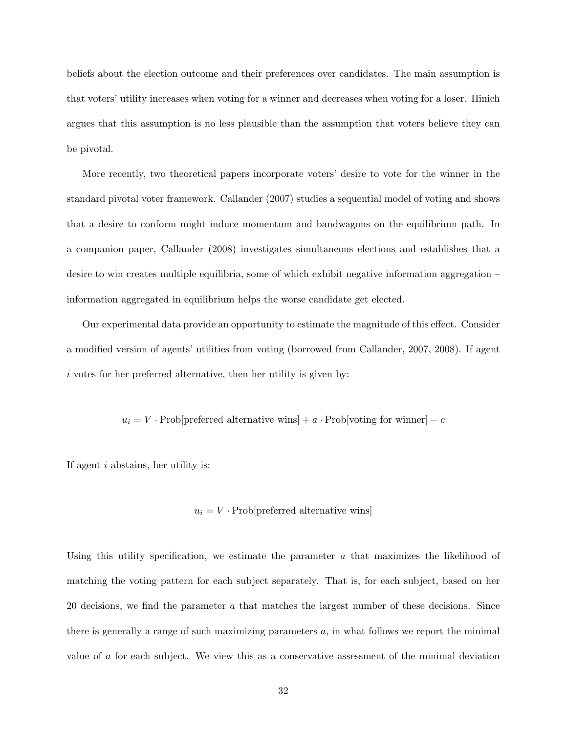beliefs about the election outcome and their preferences over candidates. The main assumption is that voters' utility increases when voting for a winner and decreases when voting for a loser. Hinich argues that this assumption is no less plausible than the assumption that voters believe they can be pivotal.

More recently, two theoretical papers incorporate voters' desire to vote for the winner in the standard pivotal voter framework. Callander (2007) studies a sequential model of voting and shows that a desire to conform might induce momentum and bandwagons on the equilibrium path. In a companion paper, Callander (2008) investigates simultaneous elections and establishes that a desire to win creates multiple equilibria, some of which exhibit negative information aggregation – information aggregated in equilibrium helps the worse candidate get elected.

Our experimental data provide an opportunity to estimate the magnitude of this effect. Consider a modified version of agents' utilities from voting (borrowed from Callander, 2007, 2008). If agent  $i$  votes for her preferred alternative, then her utility is given by:

 $u_i = V \cdot \text{Prob}[\text{preferred alternative wins}] + a \cdot \text{Prob}[\text{voting for winner}] - c$ 

If agent i abstains, her utility is:

### $u_i = V \cdot \text{Prob}[\text{preferred alternative wins}]$

Using this utility specification, we estimate the parameter  $\alpha$  that maximizes the likelihood of matching the voting pattern for each subject separately. That is, for each subject, based on her 20 decisions, we find the parameter  $a$  that matches the largest number of these decisions. Since there is generally a range of such maximizing parameters  $a$ , in what follows we report the minimal value of a for each subject. We view this as a conservative assessment of the minimal deviation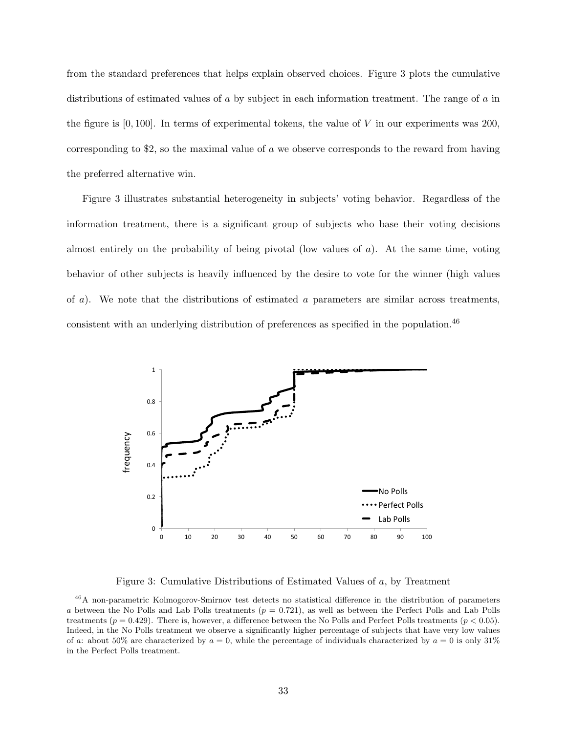from the standard preferences that helps explain observed choices. Figure 3 plots the cumulative distributions of estimated values of a by subject in each information treatment. The range of a in the figure is  $[0, 100]$ . In terms of experimental tokens, the value of V in our experiments was 200, corresponding to \$2, so the maximal value of a we observe corresponds to the reward from having the preferred alternative win.

Figure 3 illustrates substantial heterogeneity in subjects' voting behavior. Regardless of the information treatment, there is a significant group of subjects who base their voting decisions almost entirely on the probability of being pivotal (low values of  $a$ ). At the same time, voting behavior of other subjects is heavily influenced by the desire to vote for the winner (high values of  $a$ ). We note that the distributions of estimated  $a$  parameters are similar across treatments, consistent with an underlying distribution of preferences as specified in the population.<sup>46</sup>



Figure 3: Cumulative Distributions of Estimated Values of a, by Treatment

<sup>46</sup>A non-parametric Kolmogorov-Smirnov test detects no statistical difference in the distribution of parameters a between the No Polls and Lab Polls treatments  $(p = 0.721)$ , as well as between the Perfect Polls and Lab Polls treatments ( $p = 0.429$ ). There is, however, a difference between the No Polls and Perfect Polls treatments ( $p < 0.05$ ). Indeed, in the No Polls treatment we observe a significantly higher percentage of subjects that have very low values of a: about 50% are characterized by  $a = 0$ , while the percentage of individuals characterized by  $a = 0$  is only 31% in the Perfect Polls treatment.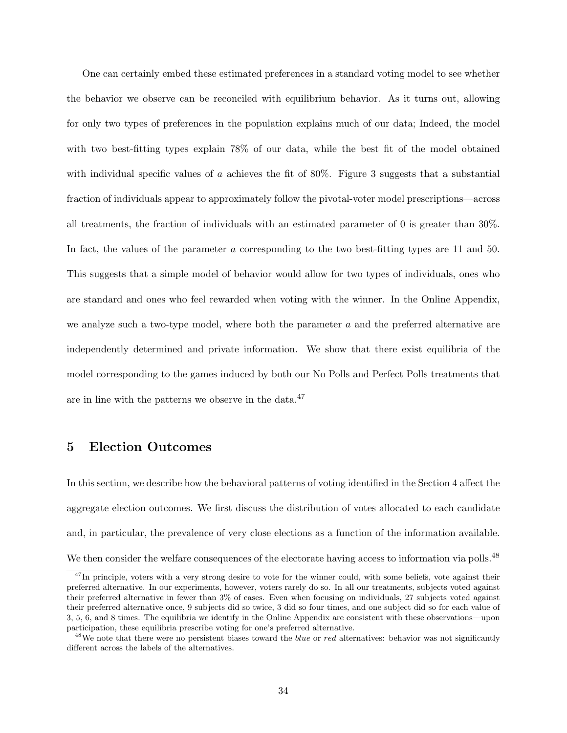One can certainly embed these estimated preferences in a standard voting model to see whether the behavior we observe can be reconciled with equilibrium behavior. As it turns out, allowing for only two types of preferences in the population explains much of our data; Indeed, the model with two best-fitting types explain 78% of our data, while the best fit of the model obtained with individual specific values of a achieves the fit of  $80\%$ . Figure 3 suggests that a substantial fraction of individuals appear to approximately follow the pivotal-voter model prescriptions—across all treatments, the fraction of individuals with an estimated parameter of 0 is greater than 30%. In fact, the values of the parameter a corresponding to the two best-fitting types are 11 and 50. This suggests that a simple model of behavior would allow for two types of individuals, ones who are standard and ones who feel rewarded when voting with the winner. In the Online Appendix, we analyze such a two-type model, where both the parameter  $a$  and the preferred alternative are independently determined and private information. We show that there exist equilibria of the model corresponding to the games induced by both our No Polls and Perfect Polls treatments that are in line with the patterns we observe in the data. $47$ 

# 5 Election Outcomes

In this section, we describe how the behavioral patterns of voting identified in the Section 4 affect the aggregate election outcomes. We first discuss the distribution of votes allocated to each candidate and, in particular, the prevalence of very close elections as a function of the information available. We then consider the welfare consequences of the electorate having access to information via polls.<sup>48</sup>

 $^{47}$ In principle, voters with a very strong desire to vote for the winner could, with some beliefs, vote against their preferred alternative. In our experiments, however, voters rarely do so. In all our treatments, subjects voted against their preferred alternative in fewer than 3% of cases. Even when focusing on individuals, 27 subjects voted against their preferred alternative once, 9 subjects did so twice, 3 did so four times, and one subject did so for each value of 3, 5, 6, and 8 times. The equilibria we identify in the Online Appendix are consistent with these observations—upon participation, these equilibria prescribe voting for one's preferred alternative.

<sup>&</sup>lt;sup>48</sup>We note that there were no persistent biases toward the *blue* or red alternatives: behavior was not significantly different across the labels of the alternatives.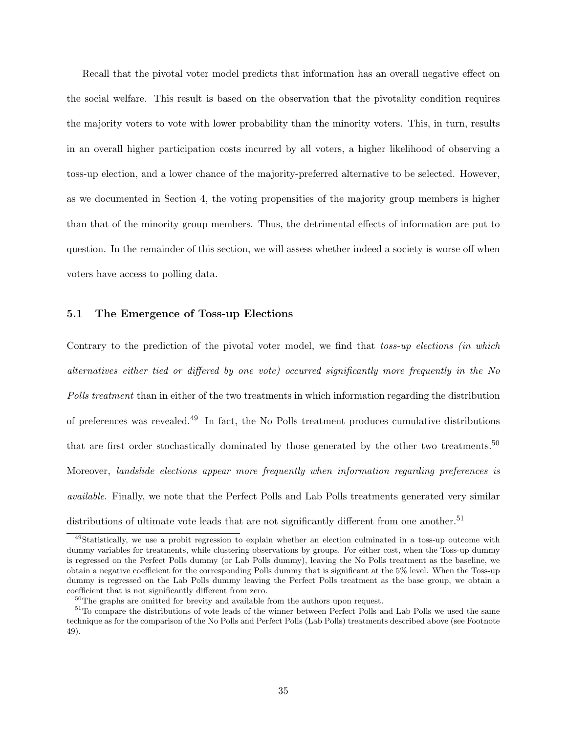Recall that the pivotal voter model predicts that information has an overall negative effect on the social welfare. This result is based on the observation that the pivotality condition requires the majority voters to vote with lower probability than the minority voters. This, in turn, results in an overall higher participation costs incurred by all voters, a higher likelihood of observing a toss-up election, and a lower chance of the majority-preferred alternative to be selected. However, as we documented in Section 4, the voting propensities of the majority group members is higher than that of the minority group members. Thus, the detrimental effects of information are put to question. In the remainder of this section, we will assess whether indeed a society is worse off when voters have access to polling data.

### 5.1 The Emergence of Toss-up Elections

Contrary to the prediction of the pivotal voter model, we find that toss-up elections (in which alternatives either tied or differed by one vote) occurred significantly more frequently in the No Polls treatment than in either of the two treatments in which information regarding the distribution of preferences was revealed.<sup>49</sup> In fact, the No Polls treatment produces cumulative distributions that are first order stochastically dominated by those generated by the other two treatments.<sup>50</sup> Moreover, landslide elections appear more frequently when information regarding preferences is available. Finally, we note that the Perfect Polls and Lab Polls treatments generated very similar distributions of ultimate vote leads that are not significantly different from one another.<sup>51</sup>

<sup>49</sup>Statistically, we use a probit regression to explain whether an election culminated in a toss-up outcome with dummy variables for treatments, while clustering observations by groups. For either cost, when the Toss-up dummy is regressed on the Perfect Polls dummy (or Lab Polls dummy), leaving the No Polls treatment as the baseline, we obtain a negative coefficient for the corresponding Polls dummy that is significant at the 5% level. When the Toss-up dummy is regressed on the Lab Polls dummy leaving the Perfect Polls treatment as the base group, we obtain a coefficient that is not significantly different from zero.

<sup>50</sup>The graphs are omitted for brevity and available from the authors upon request.

<sup>&</sup>lt;sup>51</sup>To compare the distributions of vote leads of the winner between Perfect Polls and Lab Polls we used the same technique as for the comparison of the No Polls and Perfect Polls (Lab Polls) treatments described above (see Footnote 49).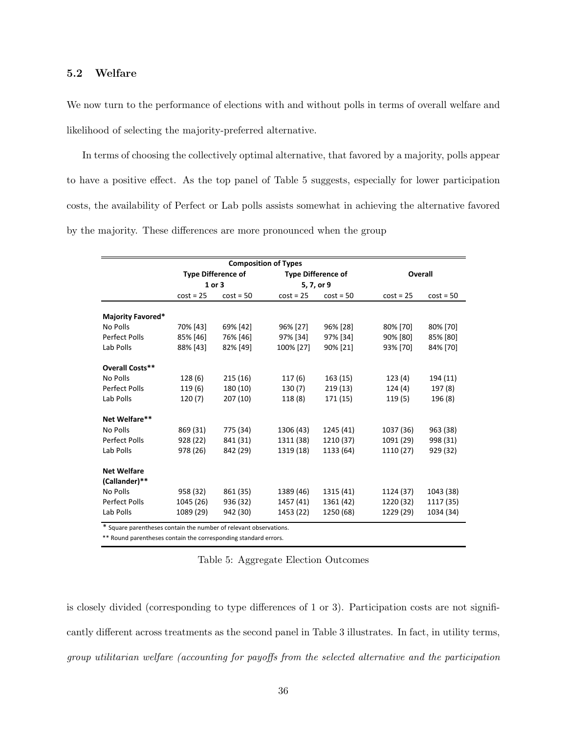# 5.2 Welfare

We now turn to the performance of elections with and without polls in terms of overall welfare and likelihood of selecting the majority-preferred alternative.

In terms of choosing the collectively optimal alternative, that favored by a majority, polls appear to have a positive effect. As the top panel of Table 5 suggests, especially for lower participation costs, the availability of Perfect or Lab polls assists somewhat in achieving the alternative favored by the majority. These differences are more pronounced when the group

|                          |                                     | <b>Composition of Types</b>                                    |             |                           |             |             |  |  |  |  |
|--------------------------|-------------------------------------|----------------------------------------------------------------|-------------|---------------------------|-------------|-------------|--|--|--|--|
|                          | <b>Type Difference of</b><br>1 or 3 |                                                                |             | <b>Type Difference of</b> | Overall     |             |  |  |  |  |
|                          |                                     |                                                                | 5, 7, or 9  |                           |             |             |  |  |  |  |
|                          | $cost = 25$                         | $cost = 50$                                                    | $cost = 25$ | $cost = 50$               | $cost = 25$ | $cost = 50$ |  |  |  |  |
| <b>Majority Favored*</b> |                                     |                                                                |             |                           |             |             |  |  |  |  |
| No Polls                 | 70% [43]                            | 69% [42]                                                       | 96% [27]    | 96% [28]                  | 80% [70]    | 80% [70]    |  |  |  |  |
| <b>Perfect Polls</b>     | 85% [46]                            | 76% [46]                                                       | 97% [34]    | 97% [34]                  | 90% [80]    | 85% [80]    |  |  |  |  |
| Lab Polls                | 88% [43]                            | 82% [49]                                                       | 100% [27]   | 90% [21]                  | 93% [70]    | 84% [70]    |  |  |  |  |
| Overall Costs**          |                                     |                                                                |             |                           |             |             |  |  |  |  |
| No Polls                 | 128 (6)                             | 215(16)                                                        | 117(6)      | 163(15)                   | 123(4)      | 194 (11)    |  |  |  |  |
| <b>Perfect Polls</b>     | 119(6)                              | 180 (10)                                                       | 130(7)      | 219(13)                   | 124(4)      | 197 (8)     |  |  |  |  |
| Lab Polls                | 120(7)                              | 207(10)                                                        | 118 (8)     | 171 (15)                  | 119(5)      | 196 (8)     |  |  |  |  |
| Net Welfare**            |                                     |                                                                |             |                           |             |             |  |  |  |  |
| No Polls                 | 869 (31)                            | 775 (34)                                                       | 1306 (43)   | 1245 (41)                 | 1037 (36)   | 963 (38)    |  |  |  |  |
| <b>Perfect Polls</b>     | 928 (22)                            | 841 (31)                                                       | 1311 (38)   | 1210 (37)                 | 1091 (29)   | 998 (31)    |  |  |  |  |
| Lab Polls                | 978 (26)                            | 842 (29)                                                       | 1319 (18)   | 1133 (64)                 | 1110 (27)   | 929 (32)    |  |  |  |  |
| <b>Net Welfare</b>       |                                     |                                                                |             |                           |             |             |  |  |  |  |
| (Callander)**            |                                     |                                                                |             |                           |             |             |  |  |  |  |
| No Polls                 | 958 (32)                            | 861 (35)                                                       | 1389 (46)   | 1315 (41)                 | 1124 (37)   | 1043 (38)   |  |  |  |  |
| <b>Perfect Polls</b>     | 1045 (26)                           | 936 (32)                                                       | 1457 (41)   | 1361 (42)                 | 1220 (32)   | 1117 (35)   |  |  |  |  |
| Lab Polls                | 1089 (29)                           | 942 (30)                                                       | 1453 (22)   | 1250 (68)                 | 1229 (29)   | 1034 (34)   |  |  |  |  |
|                          |                                     | * Cause parantheses contain the number of relevant ebsenizions |             |                           |             |             |  |  |  |  |

Square parentheses contain the number of relevant observations.

\*\* Round parentheses contain the corresponding standard errors.

Table 5: Aggregate Election Outcomes

is closely divided (corresponding to type differences of 1 or 3). Participation costs are not significantly different across treatments as the second panel in Table 3 illustrates. In fact, in utility terms, group utilitarian welfare (accounting for payoffs from the selected alternative and the participation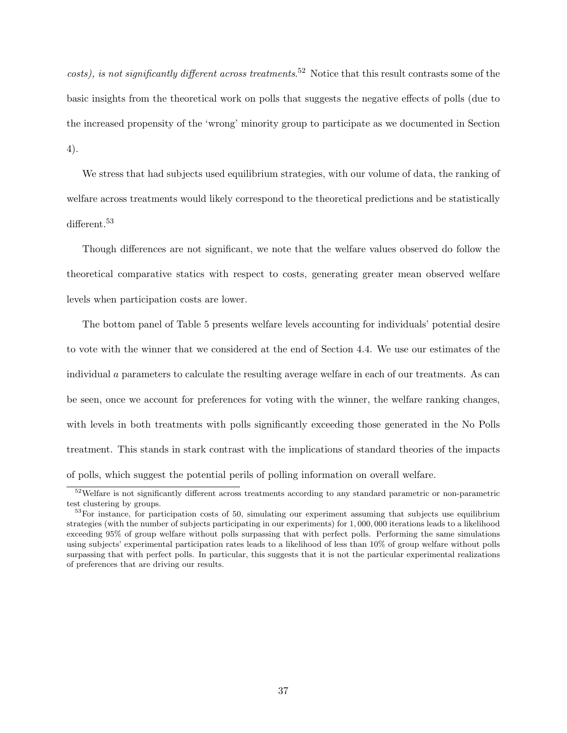costs), is not significantly different across treatments.<sup>52</sup> Notice that this result contrasts some of the basic insights from the theoretical work on polls that suggests the negative effects of polls (due to the increased propensity of the 'wrong' minority group to participate as we documented in Section 4).

We stress that had subjects used equilibrium strategies, with our volume of data, the ranking of welfare across treatments would likely correspond to the theoretical predictions and be statistically different.<sup>53</sup>

Though differences are not significant, we note that the welfare values observed do follow the theoretical comparative statics with respect to costs, generating greater mean observed welfare levels when participation costs are lower.

The bottom panel of Table 5 presents welfare levels accounting for individuals' potential desire to vote with the winner that we considered at the end of Section 4.4. We use our estimates of the individual a parameters to calculate the resulting average welfare in each of our treatments. As can be seen, once we account for preferences for voting with the winner, the welfare ranking changes, with levels in both treatments with polls significantly exceeding those generated in the No Polls treatment. This stands in stark contrast with the implications of standard theories of the impacts of polls, which suggest the potential perils of polling information on overall welfare.

<sup>52</sup>Welfare is not significantly different across treatments according to any standard parametric or non-parametric test clustering by groups.

 $53$ For instance, for participation costs of 50, simulating our experiment assuming that subjects use equilibrium strategies (with the number of subjects participating in our experiments) for 1, 000, 000 iterations leads to a likelihood exceeding 95% of group welfare without polls surpassing that with perfect polls. Performing the same simulations using subjects' experimental participation rates leads to a likelihood of less than 10% of group welfare without polls surpassing that with perfect polls. In particular, this suggests that it is not the particular experimental realizations of preferences that are driving our results.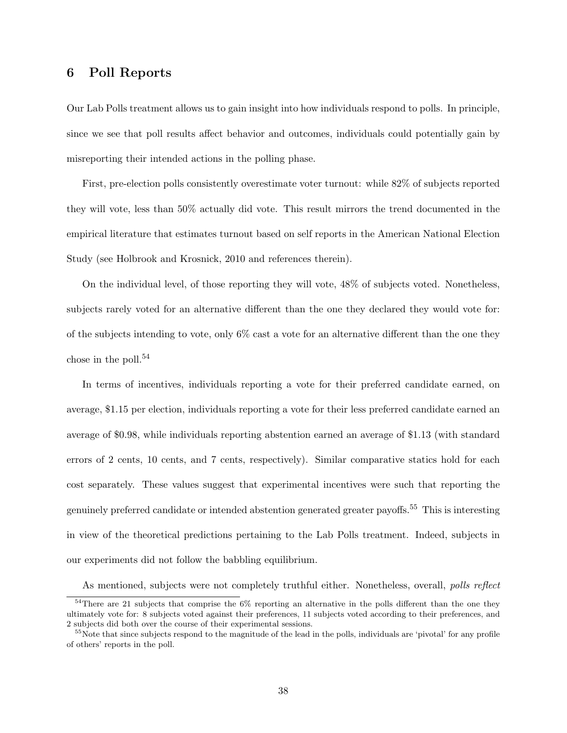# 6 Poll Reports

Our Lab Polls treatment allows us to gain insight into how individuals respond to polls. In principle, since we see that poll results affect behavior and outcomes, individuals could potentially gain by misreporting their intended actions in the polling phase.

First, pre-election polls consistently overestimate voter turnout: while 82% of subjects reported they will vote, less than 50% actually did vote. This result mirrors the trend documented in the empirical literature that estimates turnout based on self reports in the American National Election Study (see Holbrook and Krosnick, 2010 and references therein).

On the individual level, of those reporting they will vote, 48% of subjects voted. Nonetheless, subjects rarely voted for an alternative different than the one they declared they would vote for: of the subjects intending to vote, only  $6\%$  cast a vote for an alternative different than the one they chose in the poll. $54$ 

In terms of incentives, individuals reporting a vote for their preferred candidate earned, on average, \$1.15 per election, individuals reporting a vote for their less preferred candidate earned an average of \$0.98, while individuals reporting abstention earned an average of \$1.13 (with standard errors of 2 cents, 10 cents, and 7 cents, respectively). Similar comparative statics hold for each cost separately. These values suggest that experimental incentives were such that reporting the genuinely preferred candidate or intended abstention generated greater payoffs.<sup>55</sup> This is interesting in view of the theoretical predictions pertaining to the Lab Polls treatment. Indeed, subjects in our experiments did not follow the babbling equilibrium.

As mentioned, subjects were not completely truthful either. Nonetheless, overall, *polls reflect* 

<sup>&</sup>lt;sup>54</sup>There are 21 subjects that comprise the 6% reporting an alternative in the polls different than the one they ultimately vote for: 8 subjects voted against their preferences, 11 subjects voted according to their preferences, and 2 subjects did both over the course of their experimental sessions.

<sup>&</sup>lt;sup>55</sup>Note that since subjects respond to the magnitude of the lead in the polls, individuals are 'pivotal' for any profile of others' reports in the poll.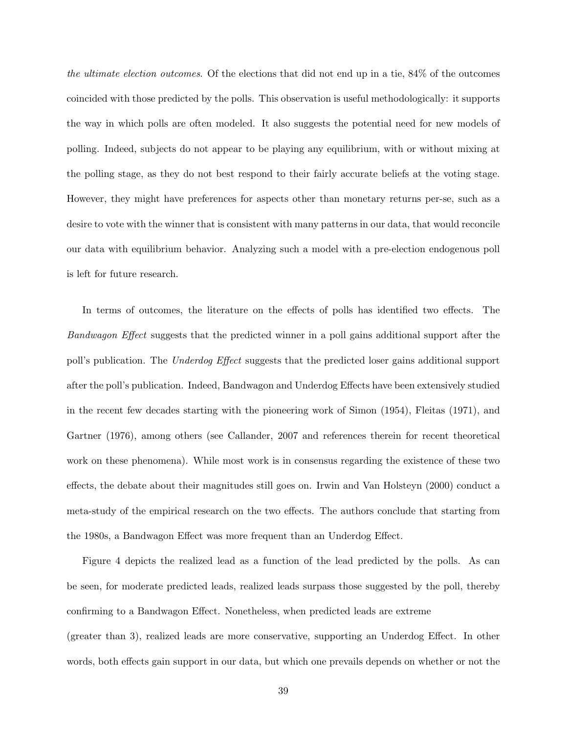the ultimate election outcomes. Of the elections that did not end up in a tie, 84% of the outcomes coincided with those predicted by the polls. This observation is useful methodologically: it supports the way in which polls are often modeled. It also suggests the potential need for new models of polling. Indeed, subjects do not appear to be playing any equilibrium, with or without mixing at the polling stage, as they do not best respond to their fairly accurate beliefs at the voting stage. However, they might have preferences for aspects other than monetary returns per-se, such as a desire to vote with the winner that is consistent with many patterns in our data, that would reconcile our data with equilibrium behavior. Analyzing such a model with a pre-election endogenous poll is left for future research.

In terms of outcomes, the literature on the effects of polls has identified two effects. The Bandwagon Effect suggests that the predicted winner in a poll gains additional support after the poll's publication. The Underdog Effect suggests that the predicted loser gains additional support after the poll's publication. Indeed, Bandwagon and Underdog Effects have been extensively studied in the recent few decades starting with the pioneering work of Simon (1954), Fleitas (1971), and Gartner (1976), among others (see Callander, 2007 and references therein for recent theoretical work on these phenomena). While most work is in consensus regarding the existence of these two effects, the debate about their magnitudes still goes on. Irwin and Van Holsteyn (2000) conduct a meta-study of the empirical research on the two effects. The authors conclude that starting from the 1980s, a Bandwagon Effect was more frequent than an Underdog Effect.

Figure 4 depicts the realized lead as a function of the lead predicted by the polls. As can be seen, for moderate predicted leads, realized leads surpass those suggested by the poll, thereby confirming to a Bandwagon Effect. Nonetheless, when predicted leads are extreme (greater than 3), realized leads are more conservative, supporting an Underdog Effect. In other words, both effects gain support in our data, but which one prevails depends on whether or not the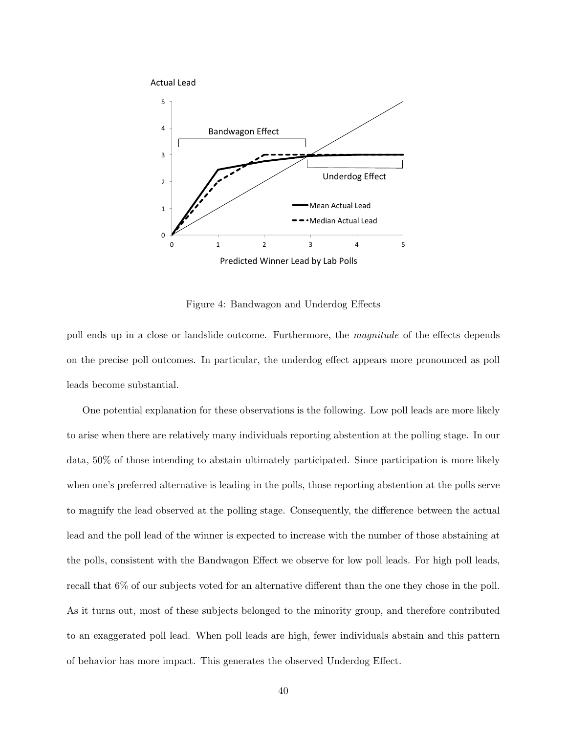

Figure 4: Bandwagon and Underdog Effects

poll ends up in a close or landslide outcome. Furthermore, the magnitude of the effects depends on the precise poll outcomes. In particular, the underdog effect appears more pronounced as poll leads become substantial.

One potential explanation for these observations is the following. Low poll leads are more likely to arise when there are relatively many individuals reporting abstention at the polling stage. In our data, 50% of those intending to abstain ultimately participated. Since participation is more likely when one's preferred alternative is leading in the polls, those reporting abstention at the polls serve to magnify the lead observed at the polling stage. Consequently, the difference between the actual lead and the poll lead of the winner is expected to increase with the number of those abstaining at the polls, consistent with the Bandwagon Effect we observe for low poll leads. For high poll leads, recall that 6% of our subjects voted for an alternative different than the one they chose in the poll. As it turns out, most of these subjects belonged to the minority group, and therefore contributed to an exaggerated poll lead. When poll leads are high, fewer individuals abstain and this pattern of behavior has more impact. This generates the observed Underdog Effect.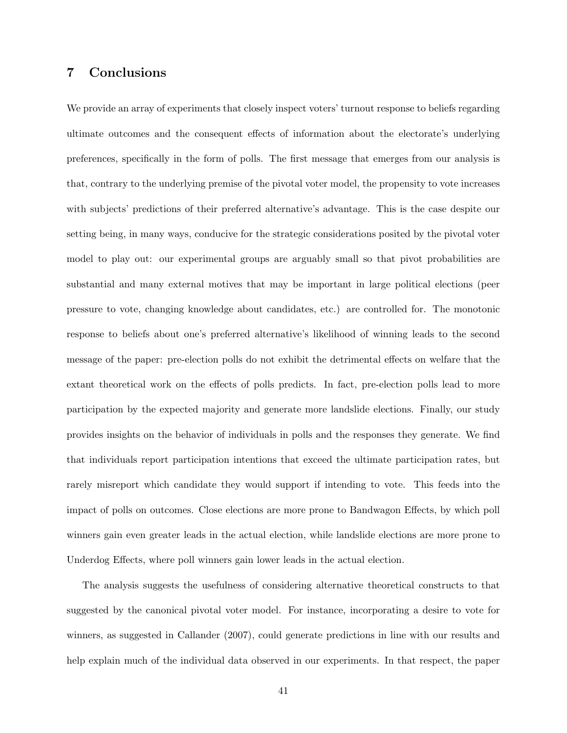# 7 Conclusions

We provide an array of experiments that closely inspect voters' turnout response to beliefs regarding ultimate outcomes and the consequent effects of information about the electorate's underlying preferences, specifically in the form of polls. The first message that emerges from our analysis is that, contrary to the underlying premise of the pivotal voter model, the propensity to vote increases with subjects' predictions of their preferred alternative's advantage. This is the case despite our setting being, in many ways, conducive for the strategic considerations posited by the pivotal voter model to play out: our experimental groups are arguably small so that pivot probabilities are substantial and many external motives that may be important in large political elections (peer pressure to vote, changing knowledge about candidates, etc.) are controlled for. The monotonic response to beliefs about one's preferred alternative's likelihood of winning leads to the second message of the paper: pre-election polls do not exhibit the detrimental effects on welfare that the extant theoretical work on the effects of polls predicts. In fact, pre-election polls lead to more participation by the expected majority and generate more landslide elections. Finally, our study provides insights on the behavior of individuals in polls and the responses they generate. We find that individuals report participation intentions that exceed the ultimate participation rates, but rarely misreport which candidate they would support if intending to vote. This feeds into the impact of polls on outcomes. Close elections are more prone to Bandwagon Effects, by which poll winners gain even greater leads in the actual election, while landslide elections are more prone to Underdog Effects, where poll winners gain lower leads in the actual election.

The analysis suggests the usefulness of considering alternative theoretical constructs to that suggested by the canonical pivotal voter model. For instance, incorporating a desire to vote for winners, as suggested in Callander (2007), could generate predictions in line with our results and help explain much of the individual data observed in our experiments. In that respect, the paper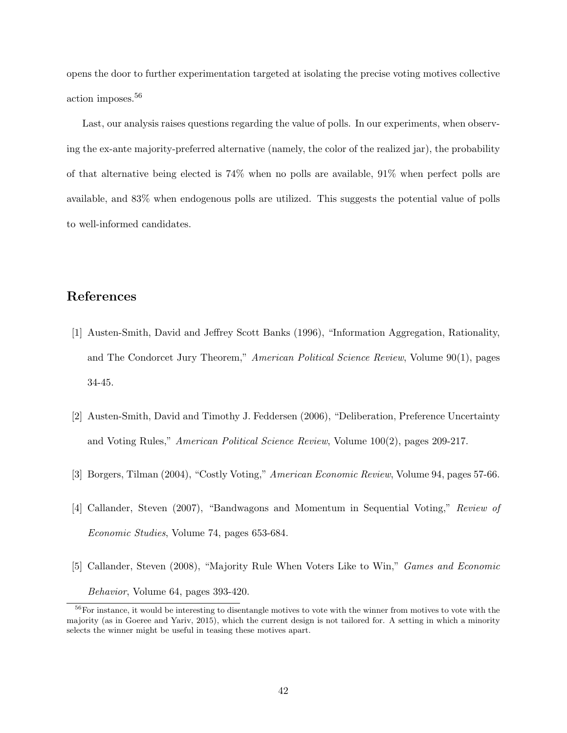opens the door to further experimentation targeted at isolating the precise voting motives collective action imposes.<sup>56</sup>

Last, our analysis raises questions regarding the value of polls. In our experiments, when observing the ex-ante majority-preferred alternative (namely, the color of the realized jar), the probability of that alternative being elected is 74% when no polls are available, 91% when perfect polls are available, and 83% when endogenous polls are utilized. This suggests the potential value of polls to well-informed candidates.

# References

- [1] Austen-Smith, David and Jeffrey Scott Banks (1996), "Information Aggregation, Rationality, and The Condorcet Jury Theorem," American Political Science Review, Volume 90(1), pages 34-45.
- [2] Austen-Smith, David and Timothy J. Feddersen (2006), "Deliberation, Preference Uncertainty and Voting Rules," American Political Science Review, Volume 100(2), pages 209-217.
- [3] Borgers, Tilman (2004), "Costly Voting," American Economic Review, Volume 94, pages 57-66.
- [4] Callander, Steven (2007), "Bandwagons and Momentum in Sequential Voting," Review of Economic Studies, Volume 74, pages 653-684.
- [5] Callander, Steven (2008), "Majority Rule When Voters Like to Win," Games and Economic Behavior, Volume 64, pages 393-420.

<sup>&</sup>lt;sup>56</sup>For instance, it would be interesting to disentangle motives to vote with the winner from motives to vote with the majority (as in Goeree and Yariv, 2015), which the current design is not tailored for. A setting in which a minority selects the winner might be useful in teasing these motives apart.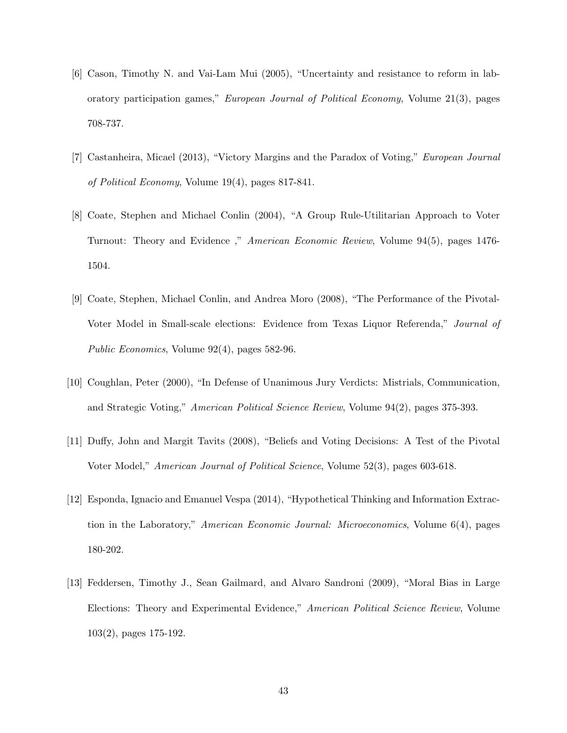- [6] Cason, Timothy N. and Vai-Lam Mui (2005), "Uncertainty and resistance to reform in laboratory participation games," European Journal of Political Economy, Volume 21(3), pages 708-737.
- [7] Castanheira, Micael (2013), "Victory Margins and the Paradox of Voting," European Journal of Political Economy, Volume 19(4), pages 817-841.
- [8] Coate, Stephen and Michael Conlin (2004), "A Group Rule-Utilitarian Approach to Voter Turnout: Theory and Evidence ," American Economic Review, Volume 94(5), pages 1476- 1504.
- [9] Coate, Stephen, Michael Conlin, and Andrea Moro (2008), "The Performance of the Pivotal-Voter Model in Small-scale elections: Evidence from Texas Liquor Referenda," Journal of Public Economics, Volume 92(4), pages 582-96.
- [10] Coughlan, Peter (2000), "In Defense of Unanimous Jury Verdicts: Mistrials, Communication, and Strategic Voting," American Political Science Review, Volume 94(2), pages 375-393.
- [11] Duffy, John and Margit Tavits (2008), "Beliefs and Voting Decisions: A Test of the Pivotal Voter Model," *American Journal of Political Science*, Volume 52(3), pages 603-618.
- [12] Esponda, Ignacio and Emanuel Vespa (2014), "Hypothetical Thinking and Information Extraction in the Laboratory," American Economic Journal: Microeconomics, Volume 6(4), pages 180-202.
- [13] Feddersen, Timothy J., Sean Gailmard, and Alvaro Sandroni (2009), "Moral Bias in Large Elections: Theory and Experimental Evidence," American Political Science Review, Volume 103(2), pages 175-192.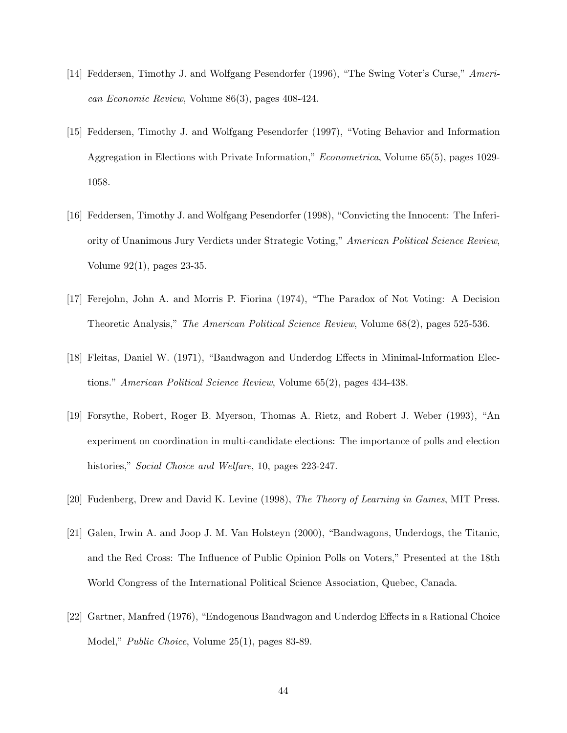- [14] Feddersen, Timothy J. and Wolfgang Pesendorfer (1996), "The Swing Voter's Curse," American Economic Review, Volume 86(3), pages 408-424.
- [15] Feddersen, Timothy J. and Wolfgang Pesendorfer (1997), "Voting Behavior and Information Aggregation in Elections with Private Information," Econometrica, Volume 65(5), pages 1029- 1058.
- [16] Feddersen, Timothy J. and Wolfgang Pesendorfer (1998), "Convicting the Innocent: The Inferiority of Unanimous Jury Verdicts under Strategic Voting," American Political Science Review, Volume 92(1), pages 23-35.
- [17] Ferejohn, John A. and Morris P. Fiorina (1974), "The Paradox of Not Voting: A Decision Theoretic Analysis," The American Political Science Review, Volume 68(2), pages 525-536.
- [18] Fleitas, Daniel W. (1971), "Bandwagon and Underdog Effects in Minimal-Information Elections." American Political Science Review, Volume 65(2), pages 434-438.
- [19] Forsythe, Robert, Roger B. Myerson, Thomas A. Rietz, and Robert J. Weber (1993), "An experiment on coordination in multi-candidate elections: The importance of polls and election histories," *Social Choice and Welfare*, 10, pages 223-247.
- [20] Fudenberg, Drew and David K. Levine (1998), The Theory of Learning in Games, MIT Press.
- [21] Galen, Irwin A. and Joop J. M. Van Holsteyn (2000), "Bandwagons, Underdogs, the Titanic, and the Red Cross: The Influence of Public Opinion Polls on Voters," Presented at the 18th World Congress of the International Political Science Association, Quebec, Canada.
- [22] Gartner, Manfred (1976), "Endogenous Bandwagon and Underdog Effects in a Rational Choice Model," Public Choice, Volume 25(1), pages 83-89.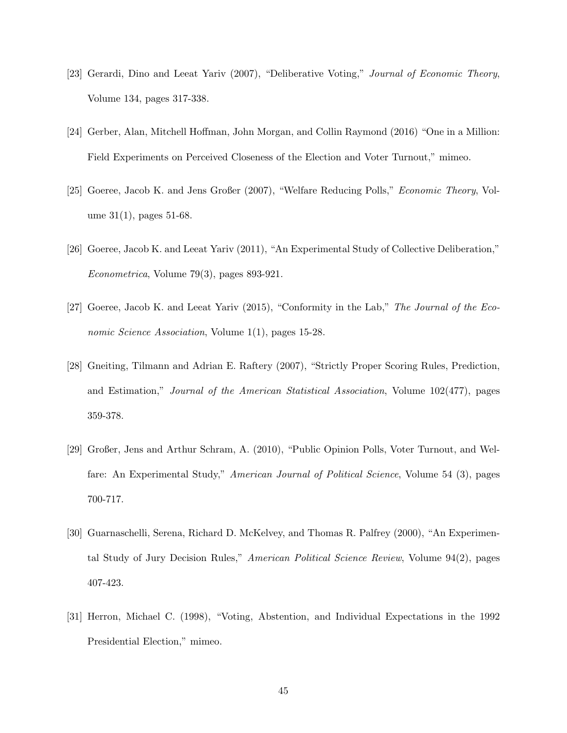- [23] Gerardi, Dino and Leeat Yariv (2007), "Deliberative Voting," Journal of Economic Theory, Volume 134, pages 317-338.
- [24] Gerber, Alan, Mitchell Hoffman, John Morgan, and Collin Raymond (2016) "One in a Million: Field Experiments on Perceived Closeness of the Election and Voter Turnout," mimeo.
- [25] Goeree, Jacob K. and Jens Großer (2007), "Welfare Reducing Polls," Economic Theory, Volume 31(1), pages 51-68.
- [26] Goeree, Jacob K. and Leeat Yariv (2011), "An Experimental Study of Collective Deliberation," Econometrica, Volume 79(3), pages 893-921.
- [27] Goeree, Jacob K. and Leeat Yariv (2015), "Conformity in the Lab," The Journal of the Economic Science Association, Volume 1(1), pages 15-28.
- [28] Gneiting, Tilmann and Adrian E. Raftery (2007), "Strictly Proper Scoring Rules, Prediction, and Estimation," Journal of the American Statistical Association, Volume 102(477), pages 359-378.
- [29] Großer, Jens and Arthur Schram, A. (2010), "Public Opinion Polls, Voter Turnout, and Welfare: An Experimental Study," American Journal of Political Science, Volume 54 (3), pages 700-717.
- [30] Guarnaschelli, Serena, Richard D. McKelvey, and Thomas R. Palfrey (2000), "An Experimental Study of Jury Decision Rules," American Political Science Review, Volume 94(2), pages 407-423.
- [31] Herron, Michael C. (1998), "Voting, Abstention, and Individual Expectations in the 1992 Presidential Election," mimeo.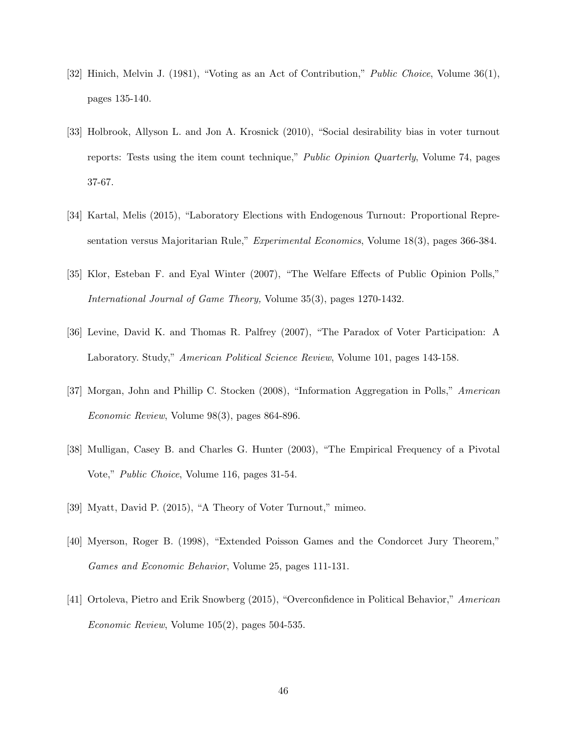- [32] Hinich, Melvin J. (1981), "Voting as an Act of Contribution," *Public Choice*, Volume 36(1), pages 135-140.
- [33] Holbrook, Allyson L. and Jon A. Krosnick (2010), "Social desirability bias in voter turnout reports: Tests using the item count technique," Public Opinion Quarterly, Volume 74, pages 37-67.
- [34] Kartal, Melis (2015), "Laboratory Elections with Endogenous Turnout: Proportional Representation versus Majoritarian Rule," Experimental Economics, Volume 18(3), pages 366-384.
- [35] Klor, Esteban F. and Eyal Winter (2007), "The Welfare Effects of Public Opinion Polls," International Journal of Game Theory, Volume 35(3), pages 1270-1432.
- [36] Levine, David K. and Thomas R. Palfrey (2007), "The Paradox of Voter Participation: A Laboratory. Study," American Political Science Review, Volume 101, pages 143-158.
- [37] Morgan, John and Phillip C. Stocken (2008), "Information Aggregation in Polls," American Economic Review, Volume 98(3), pages 864-896.
- [38] Mulligan, Casey B. and Charles G. Hunter (2003), "The Empirical Frequency of a Pivotal Vote," Public Choice, Volume 116, pages 31-54.
- [39] Myatt, David P. (2015), "A Theory of Voter Turnout," mimeo.
- [40] Myerson, Roger B. (1998), "Extended Poisson Games and the Condorcet Jury Theorem," Games and Economic Behavior, Volume 25, pages 111-131.
- [41] Ortoleva, Pietro and Erik Snowberg (2015), "Overconfidence in Political Behavior," American Economic Review, Volume 105(2), pages 504-535.